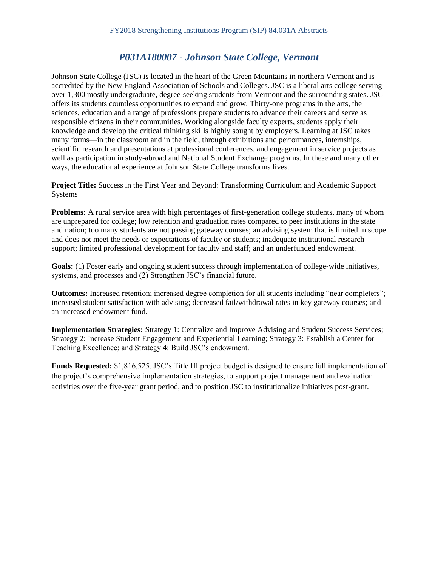# *P031A180007 - Johnson State College, Vermont*

Johnson State College (JSC) is located in the heart of the Green Mountains in northern Vermont and is accredited by the New England Association of Schools and Colleges. JSC is a liberal arts college serving over 1,300 mostly undergraduate, degree-seeking students from Vermont and the surrounding states. JSC offers its students countless opportunities to expand and grow. Thirty-one programs in the arts, the sciences, education and a range of professions prepare students to advance their careers and serve as responsible citizens in their communities. Working alongside faculty experts, students apply their knowledge and develop the critical thinking skills highly sought by employers. Learning at JSC takes many forms—in the classroom and in the field, through exhibitions and performances, internships, scientific research and presentations at professional conferences, and engagement in service projects as well as participation in study-abroad and National Student Exchange programs. In these and many other ways, the educational experience at Johnson State College transforms lives.

**Project Title:** Success in the First Year and Beyond: Transforming Curriculum and Academic Support Systems

Problems: A rural service area with high percentages of first-generation college students, many of whom are unprepared for college; low retention and graduation rates compared to peer institutions in the state and nation; too many students are not passing gateway courses; an advising system that is limited in scope and does not meet the needs or expectations of faculty or students; inadequate institutional research support; limited professional development for faculty and staff; and an underfunded endowment.

Goals: (1) Foster early and ongoing student success through implementation of college-wide initiatives, systems, and processes and (2) Strengthen JSC's financial future.

**Outcomes:** Increased retention; increased degree completion for all students including "near completers"; increased student satisfaction with advising; decreased fail/withdrawal rates in key gateway courses; and an increased endowment fund.

**Implementation Strategies:** Strategy 1: Centralize and Improve Advising and Student Success Services; Strategy 2: Increase Student Engagement and Experiential Learning; Strategy 3: Establish a Center for Teaching Excellence; and Strategy 4: Build JSC's endowment.

**Funds Requested:** \$1,816,525. JSC's Title III project budget is designed to ensure full implementation of the project's comprehensive implementation strategies, to support project management and evaluation activities over the five-year grant period, and to position JSC to institutionalize initiatives post-grant.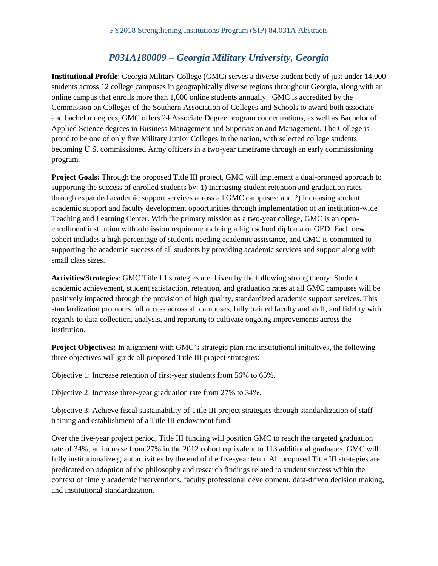# *P031A180009 – Georgia Military University, Georgia*

**Institutional Profile**: Georgia Military College (GMC) serves a diverse student body of just under 14,000 students across 12 college campuses in geographically diverse regions throughout Georgia, along with an online campus that enrolls more than 1,000 online students annually. GMC is accredited by the Commission on Colleges of the Southern Association of Colleges and Schools to award both associate and bachelor degrees, GMC offers 24 Associate Degree program concentrations, as well as Bachelor of Applied Science degrees in Business Management and Supervision and Management. The College is proud to be one of only five Military Junior Colleges in the nation, with selected college students becoming U.S. commissioned Army officers in a two-year timeframe through an early commissioning program.

**Project Goals:** Through the proposed Title III project, GMC will implement a dual-pronged approach to supporting the success of enrolled students by: 1) Increasing student retention and graduation rates through expanded academic support services across all GMC campuses; and 2) Increasing student academic support and faculty development opportunities through implementation of an institution-wide Teaching and Learning Center. With the primary mission as a two-year college, GMC is an openenrollment institution with admission requirements being a high school diploma or GED. Each new cohort includes a high percentage of students needing academic assistance, and GMC is committed to supporting the academic success of all students by providing academic services and support along with small class sizes.

**Activities/Strategies**: GMC Title III strategies are driven by the following strong theory: Student academic achievement, student satisfaction, retention, and graduation rates at all GMC campuses will be positively impacted through the provision of high quality, standardized academic support services. This standardization promotes full access across all campuses, fully trained faculty and staff, and fidelity with regards to data collection, analysis, and reporting to cultivate ongoing improvements across the institution.

**Project Objectives:** In alignment with GMC's strategic plan and institutional initiatives, the following three objectives will guide all proposed Title III project strategies:

Objective 1: Increase retention of first-year students from 56% to 65%.

Objective 2: Increase three-year graduation rate from 27% to 34%.

Objective 3: Achieve fiscal sustainability of Title III project strategies through standardization of staff training and establishment of a Title III endowment fund.

Over the five-year project period, Title III funding will position GMC to reach the targeted graduation rate of 34%; an increase from 27% in the 2012 cohort equivalent to 113 additional graduates. GMC will fully institutionalize grant activities by the end of the five-year term. All proposed Title III strategies are predicated on adoption of the philosophy and research findings related to student success within the context of timely academic interventions, faculty professional development, data-driven decision making, and institutional standardization.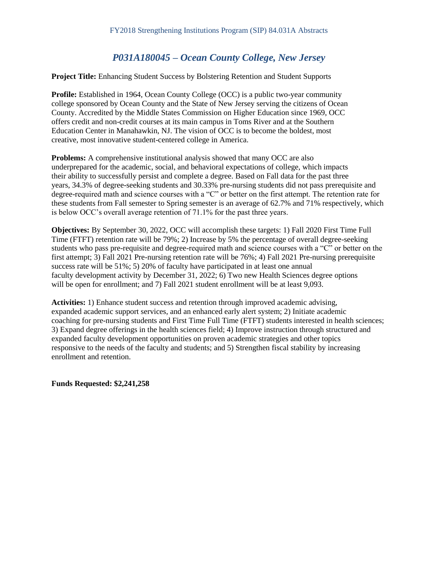# *P031A180045 – Ocean County College, New Jersey*

**Project Title:** Enhancing Student Success by Bolstering Retention and Student Supports

**Profile:** Established in 1964, Ocean County College (OCC) is a public two-year community college sponsored by Ocean County and the State of New Jersey serving the citizens of Ocean County. Accredited by the Middle States Commission on Higher Education since 1969, OCC offers credit and non-credit courses at its main campus in Toms River and at the Southern Education Center in Manahawkin, NJ. The vision of OCC is to become the boldest, most creative, most innovative student-centered college in America.

**Problems:** A comprehensive institutional analysis showed that many OCC are also underprepared for the academic, social, and behavioral expectations of college, which impacts their ability to successfully persist and complete a degree. Based on Fall data for the past three years, 34.3% of degree-seeking students and 30.33% pre-nursing students did not pass prerequisite and degree-required math and science courses with a "C" or better on the first attempt. The retention rate for these students from Fall semester to Spring semester is an average of 62.7% and 71% respectively, which is below OCC's overall average retention of 71.1% for the past three years.

**Objectives:** By September 30, 2022, OCC will accomplish these targets: 1) Fall 2020 First Time Full Time (FTFT) retention rate will be 79%; 2) Increase by 5% the percentage of overall degree-seeking students who pass pre-requisite and degree-required math and science courses with a "C" or better on the first attempt; 3) Fall 2021 Pre-nursing retention rate will be 76%; 4) Fall 2021 Pre-nursing prerequisite success rate will be 51%; 5) 20% of faculty have participated in at least one annual faculty development activity by December 31, 2022; 6) Two new Health Sciences degree options will be open for enrollment; and 7) Fall 2021 student enrollment will be at least 9,093.

**Activities:** 1) Enhance student success and retention through improved academic advising, expanded academic support services, and an enhanced early alert system; 2) Initiate academic coaching for pre-nursing students and First Time Full Time (FTFT) students interested in health sciences; 3) Expand degree offerings in the health sciences field; 4) Improve instruction through structured and expanded faculty development opportunities on proven academic strategies and other topics responsive to the needs of the faculty and students; and 5) Strengthen fiscal stability by increasing enrollment and retention.

**Funds Requested: \$2,241,258**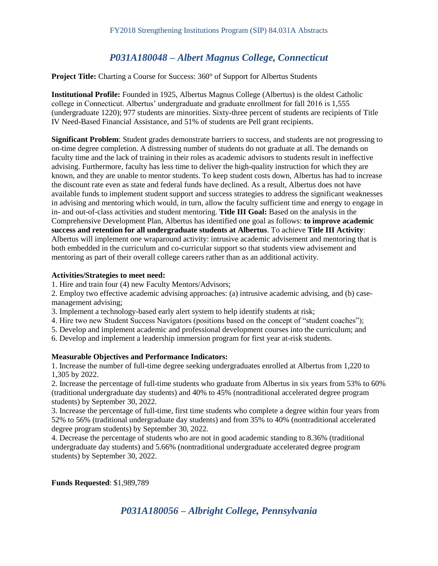# *P031A180048 – Albert Magnus College, Connecticut*

**Project Title:** Charting a Course for Success: 360° of Support for Albertus Students

**Institutional Profile:** Founded in 1925, Albertus Magnus College (Albertus) is the oldest Catholic college in Connecticut. Albertus' undergraduate and graduate enrollment for fall 2016 is 1,555 (undergraduate 1220); 977 students are minorities. Sixty-three percent of students are recipients of Title IV Need-Based Financial Assistance, and 51% of students are Pell grant recipients.

**Significant Problem**: Student grades demonstrate barriers to success, and students are not progressing to on-time degree completion. A distressing number of students do not graduate at all. The demands on faculty time and the lack of training in their roles as academic advisors to students result in ineffective advising. Furthermore, faculty has less time to deliver the high-quality instruction for which they are known, and they are unable to mentor students. To keep student costs down, Albertus has had to increase the discount rate even as state and federal funds have declined. As a result, Albertus does not have available funds to implement student support and success strategies to address the significant weaknesses in advising and mentoring which would, in turn, allow the faculty sufficient time and energy to engage in in- and out-of-class activities and student mentoring. **Title III Goal:** Based on the analysis in the Comprehensive Development Plan, Albertus has identified one goal as follows: **to improve academic success and retention for all undergraduate students at Albertus**. To achieve **Title III Activity**: Albertus will implement one wraparound activity: intrusive academic advisement and mentoring that is both embedded in the curriculum and co-curricular support so that students view advisement and mentoring as part of their overall college careers rather than as an additional activity.

#### **Activities/Strategies to meet need:**

1. Hire and train four (4) new Faculty Mentors/Advisors;

2. Employ two effective academic advising approaches: (a) intrusive academic advising, and (b) casemanagement advising;

- 3. Implement a technology-based early alert system to help identify students at risk;
- 4. Hire two new Student Success Navigators (positions based on the concept of "student coaches");
- 5. Develop and implement academic and professional development courses into the curriculum; and
- 6. Develop and implement a leadership immersion program for first year at-risk students.

#### **Measurable Objectives and Performance Indicators:**

1. Increase the number of full-time degree seeking undergraduates enrolled at Albertus from 1,220 to 1,305 by 2022.

2. Increase the percentage of full-time students who graduate from Albertus in six years from 53% to 60% (traditional undergraduate day students) and 40% to 45% (nontraditional accelerated degree program students) by September 30, 2022.

3. Increase the percentage of full-time, first time students who complete a degree within four years from 52% to 56% (traditional undergraduate day students) and from 35% to 40% (nontraditional accelerated degree program students) by September 30, 2022.

4. Decrease the percentage of students who are not in good academic standing to 8.36% (traditional undergraduate day students) and 5.66% (nontraditional undergraduate accelerated degree program students) by September 30, 2022.

**Funds Requested**: \$1,989,789

### *P031A180056 – Albright College, Pennsylvania*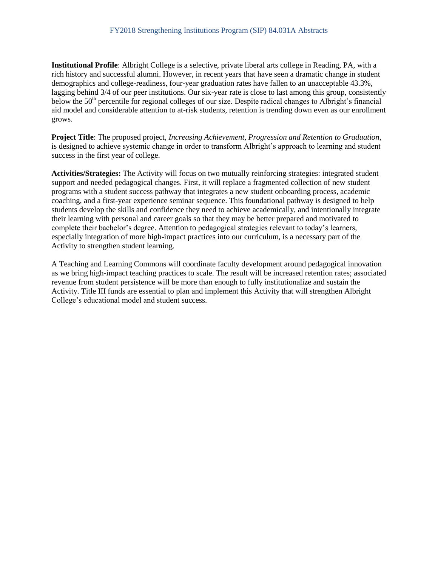**Institutional Profile**: Albright College is a selective, private liberal arts college in Reading, PA, with a rich history and successful alumni. However, in recent years that have seen a dramatic change in student demographics and college-readiness, four-year graduation rates have fallen to an unacceptable 43.3%, lagging behind 3/4 of our peer institutions. Our six-year rate is close to last among this group, consistently below the 50<sup>th</sup> percentile for regional colleges of our size. Despite radical changes to Albright's financial aid model and considerable attention to at-risk students, retention is trending down even as our enrollment grows.

**Project Title**: The proposed project, *Increasing Achievement, Progression and Retention to Graduation*, is designed to achieve systemic change in order to transform Albright's approach to learning and student success in the first year of college.

**Activities/Strategies:** The Activity will focus on two mutually reinforcing strategies: integrated student support and needed pedagogical changes. First, it will replace a fragmented collection of new student programs with a student success pathway that integrates a new student onboarding process, academic coaching, and a first-year experience seminar sequence. This foundational pathway is designed to help students develop the skills and confidence they need to achieve academically, and intentionally integrate their learning with personal and career goals so that they may be better prepared and motivated to complete their bachelor's degree. Attention to pedagogical strategies relevant to today's learners, especially integration of more high-impact practices into our curriculum, is a necessary part of the Activity to strengthen student learning.

A Teaching and Learning Commons will coordinate faculty development around pedagogical innovation as we bring high-impact teaching practices to scale. The result will be increased retention rates; associated revenue from student persistence will be more than enough to fully institutionalize and sustain the Activity. Title III funds are essential to plan and implement this Activity that will strengthen Albright College's educational model and student success.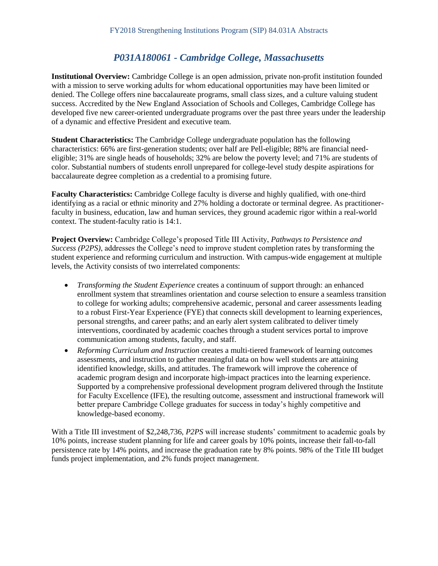# *P031A180061 - Cambridge College, Massachusetts*

**Institutional Overview:** Cambridge College is an open admission, private non-profit institution founded with a mission to serve working adults for whom educational opportunities may have been limited or denied. The College offers nine baccalaureate programs, small class sizes, and a culture valuing student success. Accredited by the New England Association of Schools and Colleges, Cambridge College has developed five new career-oriented undergraduate programs over the past three years under the leadership of a dynamic and effective President and executive team.

**Student Characteristics:** The Cambridge College undergraduate population has the following characteristics: 66% are first-generation students; over half are Pell-eligible; 88% are financial needeligible; 31% are single heads of households; 32% are below the poverty level; and 71% are students of color. Substantial numbers of students enroll unprepared for college-level study despite aspirations for baccalaureate degree completion as a credential to a promising future.

**Faculty Characteristics:** Cambridge College faculty is diverse and highly qualified, with one-third identifying as a racial or ethnic minority and 27% holding a doctorate or terminal degree. As practitionerfaculty in business, education, law and human services, they ground academic rigor within a real-world context. The student-faculty ratio is 14:1.

**Project Overview:** Cambridge College's proposed Title III Activity, *Pathways to Persistence and Success (P2PS)*, addresses the College's need to improve student completion rates by transforming the student experience and reforming curriculum and instruction. With campus-wide engagement at multiple levels, the Activity consists of two interrelated components:

- *Transforming the Student Experience* creates a continuum of support through: an enhanced enrollment system that streamlines orientation and course selection to ensure a seamless transition to college for working adults; comprehensive academic, personal and career assessments leading to a robust First-Year Experience (FYE) that connects skill development to learning experiences, personal strengths, and career paths; and an early alert system calibrated to deliver timely interventions, coordinated by academic coaches through a student services portal to improve communication among students, faculty, and staff.
- *Reforming Curriculum and Instruction* creates a multi-tiered framework of learning outcomes assessments, and instruction to gather meaningful data on how well students are attaining identified knowledge, skills, and attitudes. The framework will improve the coherence of academic program design and incorporate high-impact practices into the learning experience. Supported by a comprehensive professional development program delivered through the Institute for Faculty Excellence (IFE), the resulting outcome, assessment and instructional framework will better prepare Cambridge College graduates for success in today's highly competitive and knowledge-based economy.

With a Title III investment of \$2,248,736, *P2PS* will increase students' commitment to academic goals by 10% points, increase student planning for life and career goals by 10% points, increase their fall-to-fall persistence rate by 14% points, and increase the graduation rate by 8% points. 98% of the Title III budget funds project implementation, and 2% funds project management.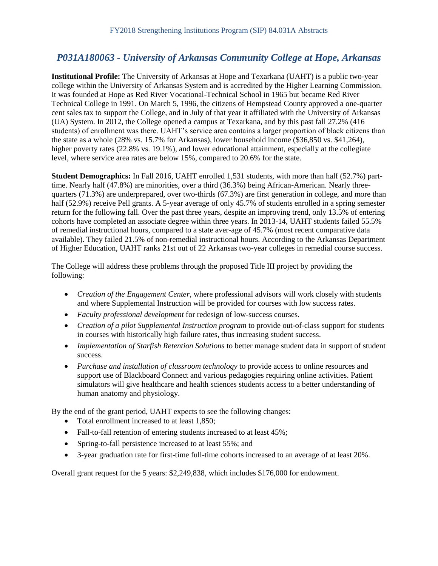# *P031A180063 - University of Arkansas Community College at Hope, Arkansas*

**Institutional Profile:** The University of Arkansas at Hope and Texarkana (UAHT) is a public two-year college within the University of Arkansas System and is accredited by the Higher Learning Commission. It was founded at Hope as Red River Vocational-Technical School in 1965 but became Red River Technical College in 1991. On March 5, 1996, the citizens of Hempstead County approved a one-quarter cent sales tax to support the College, and in July of that year it affiliated with the University of Arkansas (UA) System. In 2012, the College opened a campus at Texarkana, and by this past fall 27.2% (416 students) of enrollment was there. UAHT's service area contains a larger proportion of black citizens than the state as a whole (28% vs. 15.7% for Arkansas), lower household income (\$36,850 vs. \$41,264), higher poverty rates (22.8% vs. 19.1%), and lower educational attainment, especially at the collegiate level, where service area rates are below 15%, compared to 20.6% for the state.

**Student Demographics:** In Fall 2016, UAHT enrolled 1,531 students, with more than half (52.7%) parttime. Nearly half (47.8%) are minorities, over a third (36.3%) being African-American. Nearly threequarters (71.3%) are underprepared, over two-thirds (67.3%) are first generation in college, and more than half (52.9%) receive Pell grants. A 5-year average of only 45.7% of students enrolled in a spring semester return for the following fall. Over the past three years, despite an improving trend, only 13.5% of entering cohorts have completed an associate degree within three years. In 2013-14, UAHT students failed 55.5% of remedial instructional hours, compared to a state aver-age of 45.7% (most recent comparative data available). They failed 21.5% of non-remedial instructional hours. According to the Arkansas Department of Higher Education, UAHT ranks 21st out of 22 Arkansas two-year colleges in remedial course success.

The College will address these problems through the proposed Title III project by providing the following:

- *Creation of the Engagement Center*, where professional advisors will work closely with students and where Supplemental Instruction will be provided for courses with low success rates.
- *Faculty professional development* for redesign of low-success courses.
- *Creation of a pilot Supplemental Instruction program* to provide out-of-class support for students in courses with historically high failure rates, thus increasing student success.
- *Implementation of Starfish Retention Solutions* to better manage student data in support of student success.
- *Purchase and installation of classroom technology* to provide access to online resources and support use of Blackboard Connect and various pedagogies requiring online activities. Patient simulators will give healthcare and health sciences students access to a better understanding of human anatomy and physiology.

By the end of the grant period, UAHT expects to see the following changes:

- Total enrollment increased to at least 1,850;
- Fall-to-fall retention of entering students increased to at least 45%;
- Spring-to-fall persistence increased to at least 55%; and
- 3-year graduation rate for first-time full-time cohorts increased to an average of at least 20%.

Overall grant request for the 5 years: \$2,249,838, which includes \$176,000 for endowment.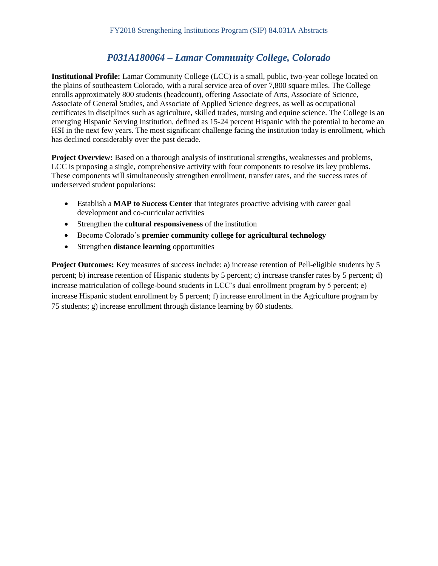# *P031A180064 – Lamar Community College, Colorado*

**Institutional Profile:** Lamar Community College (LCC) is a small, public, two-year college located on the plains of southeastern Colorado, with a rural service area of over 7,800 square miles. The College enrolls approximately 800 students (headcount), offering Associate of Arts, Associate of Science, Associate of General Studies, and Associate of Applied Science degrees, as well as occupational certificates in disciplines such as agriculture, skilled trades, nursing and equine science. The College is an emerging Hispanic Serving Institution, defined as 15-24 percent Hispanic with the potential to become an HSI in the next few years. The most significant challenge facing the institution today is enrollment, which has declined considerably over the past decade.

**Project Overview:** Based on a thorough analysis of institutional strengths, weaknesses and problems, LCC is proposing a single, comprehensive activity with four components to resolve its key problems. These components will simultaneously strengthen enrollment, transfer rates, and the success rates of underserved student populations:

- Establish a **MAP to Success Center** that integrates proactive advising with career goal development and co-curricular activities
- Strengthen the **cultural responsiveness** of the institution
- Become Colorado's **premier community college for agricultural technology**
- Strengthen **distance learning** opportunities

**Project Outcomes:** Key measures of success include: a) increase retention of Pell-eligible students by 5 percent; b) increase retention of Hispanic students by 5 percent; c) increase transfer rates by 5 percent; d) increase matriculation of college-bound students in LCC's dual enrollment program by 5 percent; e) increase Hispanic student enrollment by 5 percent; f) increase enrollment in the Agriculture program by 75 students; g) increase enrollment through distance learning by 60 students.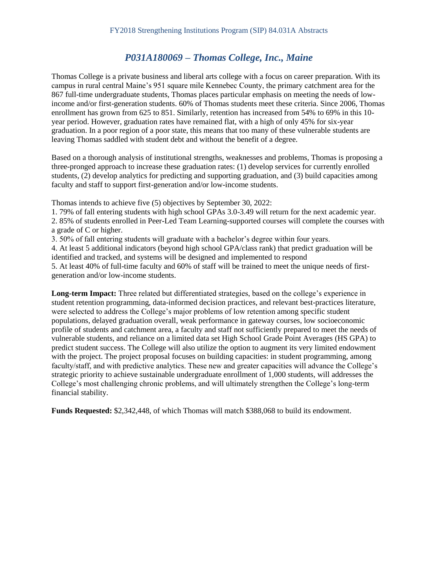# *P031A180069 – Thomas College, Inc., Maine*

Thomas College is a private business and liberal arts college with a focus on career preparation. With its campus in rural central Maine's 951 square mile Kennebec County, the primary catchment area for the 867 full-time undergraduate students, Thomas places particular emphasis on meeting the needs of lowincome and/or first-generation students. 60% of Thomas students meet these criteria. Since 2006, Thomas enrollment has grown from 625 to 851. Similarly, retention has increased from 54% to 69% in this 10 year period. However, graduation rates have remained flat, with a high of only 45% for six-year graduation. In a poor region of a poor state, this means that too many of these vulnerable students are leaving Thomas saddled with student debt and without the benefit of a degree.

Based on a thorough analysis of institutional strengths, weaknesses and problems, Thomas is proposing a three-pronged approach to increase these graduation rates: (1) develop services for currently enrolled students, (2) develop analytics for predicting and supporting graduation, and (3) build capacities among faculty and staff to support first-generation and/or low-income students.

Thomas intends to achieve five (5) objectives by September 30, 2022:

1. 79% of fall entering students with high school GPAs 3.0-3.49 will return for the next academic year.

2. 85% of students enrolled in Peer-Led Team Learning-supported courses will complete the courses with a grade of C or higher.

3. 50% of fall entering students will graduate with a bachelor's degree within four years.

4. At least 5 additional indicators (beyond high school GPA/class rank) that predict graduation will be identified and tracked, and systems will be designed and implemented to respond

5. At least 40% of full-time faculty and 60% of staff will be trained to meet the unique needs of firstgeneration and/or low-income students.

**Long-term Impact:** Three related but differentiated strategies, based on the college's experience in student retention programming, data-informed decision practices, and relevant best-practices literature, were selected to address the College's major problems of low retention among specific student populations, delayed graduation overall, weak performance in gateway courses, low socioeconomic profile of students and catchment area, a faculty and staff not sufficiently prepared to meet the needs of vulnerable students, and reliance on a limited data set High School Grade Point Averages (HS GPA) to predict student success. The College will also utilize the option to augment its very limited endowment with the project. The project proposal focuses on building capacities: in student programming, among faculty/staff, and with predictive analytics. These new and greater capacities will advance the College's strategic priority to achieve sustainable undergraduate enrollment of 1,000 students, will addresses the College's most challenging chronic problems, and will ultimately strengthen the College's long-term financial stability.

**Funds Requested:** \$2,342,448, of which Thomas will match \$388,068 to build its endowment.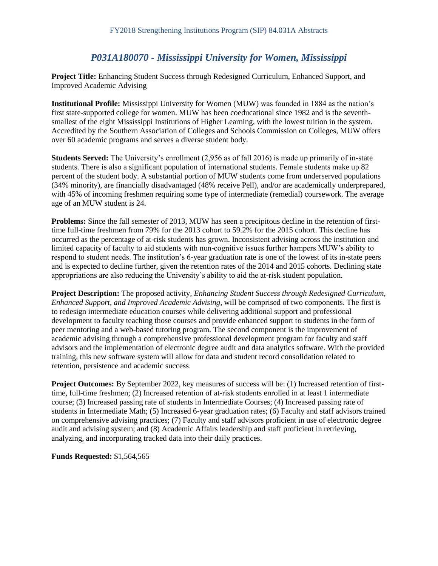## *P031A180070 - Mississippi University for Women, Mississippi*

**Project Title:** Enhancing Student Success through Redesigned Curriculum, Enhanced Support, and Improved Academic Advising

**Institutional Profile:** Mississippi University for Women (MUW) was founded in 1884 as the nation's first state-supported college for women. MUW has been coeducational since 1982 and is the seventhsmallest of the eight Mississippi Institutions of Higher Learning, with the lowest tuition in the system. Accredited by the Southern Association of Colleges and Schools Commission on Colleges, MUW offers over 60 academic programs and serves a diverse student body.

**Students Served:** The University's enrollment (2,956 as of fall 2016) is made up primarily of in-state students. There is also a significant population of international students. Female students make up 82 percent of the student body. A substantial portion of MUW students come from underserved populations (34% minority), are financially disadvantaged (48% receive Pell), and/or are academically underprepared, with 45% of incoming freshmen requiring some type of intermediate (remedial) coursework. The average age of an MUW student is 24.

**Problems:** Since the fall semester of 2013, MUW has seen a precipitous decline in the retention of firsttime full-time freshmen from 79% for the 2013 cohort to 59.2% for the 2015 cohort. This decline has occurred as the percentage of at-risk students has grown. Inconsistent advising across the institution and limited capacity of faculty to aid students with non-cognitive issues further hampers MUW's ability to respond to student needs. The institution's 6-year graduation rate is one of the lowest of its in-state peers and is expected to decline further, given the retention rates of the 2014 and 2015 cohorts. Declining state appropriations are also reducing the University's ability to aid the at-risk student population.

**Project Description:** The proposed activity*, Enhancing Student Success through Redesigned Curriculum, Enhanced Support, and Improved Academic Advising*, will be comprised of two components. The first is to redesign intermediate education courses while delivering additional support and professional development to faculty teaching those courses and provide enhanced support to students in the form of peer mentoring and a web-based tutoring program. The second component is the improvement of academic advising through a comprehensive professional development program for faculty and staff advisors and the implementation of electronic degree audit and data analytics software. With the provided training, this new software system will allow for data and student record consolidation related to retention, persistence and academic success.

**Project Outcomes:** By September 2022, key measures of success will be: (1) Increased retention of firsttime, full-time freshmen; (2) Increased retention of at-risk students enrolled in at least 1 intermediate course; (3) Increased passing rate of students in Intermediate Courses; (4) Increased passing rate of students in Intermediate Math; (5) Increased 6-year graduation rates; (6) Faculty and staff advisors trained on comprehensive advising practices; (7) Faculty and staff advisors proficient in use of electronic degree audit and advising system; and (8) Academic Affairs leadership and staff proficient in retrieving, analyzing, and incorporating tracked data into their daily practices.

**Funds Requested:** \$1,564,565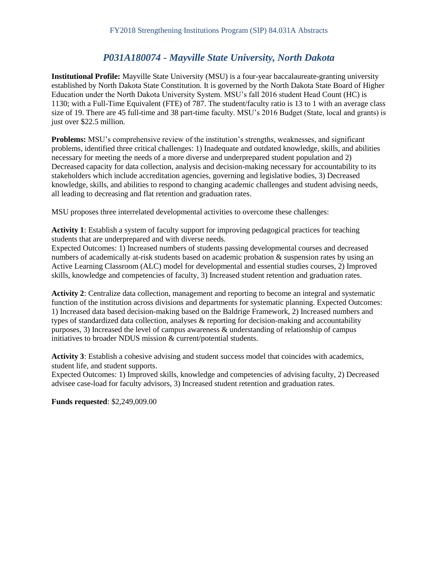# *P031A180074 - Mayville State University, North Dakota*

**Institutional Profile:** Mayville State University (MSU) is a four-year baccalaureate-granting university established by North Dakota State Constitution. It is governed by the North Dakota State Board of Higher Education under the North Dakota University System. MSU's fall 2016 student Head Count (HC) is 1130; with a Full-Time Equivalent (FTE) of 787. The student/faculty ratio is 13 to 1 with an average class size of 19. There are 45 full-time and 38 part-time faculty. MSU's 2016 Budget (State, local and grants) is just over \$22.5 million.

**Problems:** MSU's comprehensive review of the institution's strengths, weaknesses, and significant problems, identified three critical challenges: 1) Inadequate and outdated knowledge, skills, and abilities necessary for meeting the needs of a more diverse and underprepared student population and 2) Decreased capacity for data collection, analysis and decision-making necessary for accountability to its stakeholders which include accreditation agencies, governing and legislative bodies, 3) Decreased knowledge, skills, and abilities to respond to changing academic challenges and student advising needs, all leading to decreasing and flat retention and graduation rates.

MSU proposes three interrelated developmental activities to overcome these challenges:

**Activity 1**: Establish a system of faculty support for improving pedagogical practices for teaching students that are underprepared and with diverse needs.

Expected Outcomes: 1) Increased numbers of students passing developmental courses and decreased numbers of academically at-risk students based on academic probation & suspension rates by using an Active Learning Classroom (ALC) model for developmental and essential studies courses, 2) Improved skills, knowledge and competencies of faculty, 3) Increased student retention and graduation rates.

**Activity 2**: Centralize data collection, management and reporting to become an integral and systematic function of the institution across divisions and departments for systematic planning. Expected Outcomes: 1) Increased data based decision-making based on the Baldrige Framework, 2) Increased numbers and types of standardized data collection, analyses & reporting for decision-making and accountability purposes, 3) Increased the level of campus awareness  $\&$  understanding of relationship of campus initiatives to broader NDUS mission & current/potential students.

**Activity 3**: Establish a cohesive advising and student success model that coincides with academics, student life, and student supports.

Expected Outcomes: 1) Improved skills, knowledge and competencies of advising faculty, 2) Decreased advisee case-load for faculty advisors, 3) Increased student retention and graduation rates.

**Funds requested**: \$2,249,009.00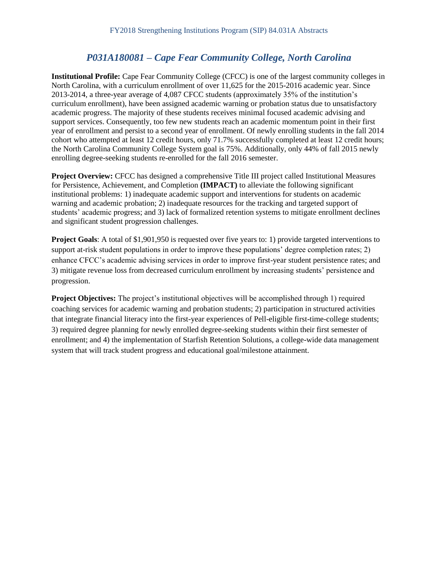## *P031A180081 – Cape Fear Community College, North Carolina*

**Institutional Profile:** Cape Fear Community College (CFCC) is one of the largest community colleges in North Carolina, with a curriculum enrollment of over 11,625 for the 2015-2016 academic year. Since 2013-2014, a three-year average of 4,087 CFCC students (approximately 35% of the institution's curriculum enrollment), have been assigned academic warning or probation status due to unsatisfactory academic progress. The majority of these students receives minimal focused academic advising and support services. Consequently, too few new students reach an academic momentum point in their first year of enrollment and persist to a second year of enrollment. Of newly enrolling students in the fall 2014 cohort who attempted at least 12 credit hours, only 71.7% successfully completed at least 12 credit hours; the North Carolina Community College System goal is 75%. Additionally, only 44% of fall 2015 newly enrolling degree-seeking students re-enrolled for the fall 2016 semester.

**Project Overview:** CFCC has designed a comprehensive Title III project called Institutional Measures for Persistence, Achievement, and Completion **(IMPACT)** to alleviate the following significant institutional problems: 1) inadequate academic support and interventions for students on academic warning and academic probation; 2) inadequate resources for the tracking and targeted support of students' academic progress; and 3) lack of formalized retention systems to mitigate enrollment declines and significant student progression challenges.

**Project Goals**: A total of \$1,901,950 is requested over five years to: 1) provide targeted interventions to support at-risk student populations in order to improve these populations' degree completion rates; 2) enhance CFCC's academic advising services in order to improve first-year student persistence rates; and 3) mitigate revenue loss from decreased curriculum enrollment by increasing students' persistence and progression.

**Project Objectives:** The project's institutional objectives will be accomplished through 1) required coaching services for academic warning and probation students; 2) participation in structured activities that integrate financial literacy into the first-year experiences of Pell-eligible first-time-college students; 3) required degree planning for newly enrolled degree-seeking students within their first semester of enrollment; and 4) the implementation of Starfish Retention Solutions, a college-wide data management system that will track student progress and educational goal/milestone attainment.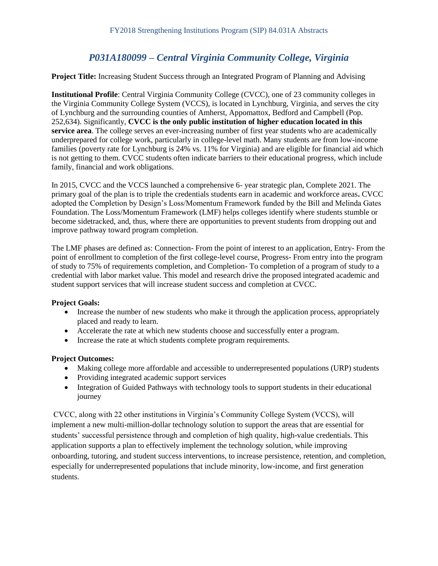# *P031A180099 – Central Virginia Community College, Virginia*

**Project Title:** Increasing Student Success through an Integrated Program of Planning and Advising

**Institutional Profile**: Central Virginia Community College (CVCC), one of 23 community colleges in the Virginia Community College System (VCCS), is located in Lynchburg, Virginia, and serves the city of Lynchburg and the surrounding counties of Amherst, Appomattox, Bedford and Campbell (Pop. 252,634). Significantly, **CVCC is the only public institution of higher education located in this service area**. The college serves an ever-increasing number of first year students who are academically underprepared for college work, particularly in college-level math. Many students are from low-income families (poverty rate for Lynchburg is 24% vs. 11% for Virginia) and are eligible for financial aid which is not getting to them. CVCC students often indicate barriers to their educational progress, which include family, financial and work obligations.

In 2015, CVCC and the VCCS launched a comprehensive 6- year strategic plan, Complete 2021. The primary goal of the plan is to triple the credentials students earn in academic and workforce areas**.** CVCC adopted the Completion by Design's Loss/Momentum Framework funded by the Bill and Melinda Gates Foundation. The Loss/Momentum Framework (LMF) helps colleges identify where students stumble or become sidetracked, and, thus, where there are opportunities to prevent students from dropping out and improve pathway toward program completion.

The LMF phases are defined as: Connection- From the point of interest to an application, Entry- From the point of enrollment to completion of the first college-level course, Progress- From entry into the program of study to 75% of requirements completion, and Completion- To completion of a program of study to a credential with labor market value. This model and research drive the proposed integrated academic and student support services that will increase student success and completion at CVCC.

#### **Project Goals:**

- Increase the number of new students who make it through the application process, appropriately placed and ready to learn.
- Accelerate the rate at which new students choose and successfully enter a program.
- Increase the rate at which students complete program requirements.

#### **Project Outcomes:**

- Making college more affordable and accessible to underrepresented populations (URP) students
- Providing integrated academic support services
- Integration of Guided Pathways with technology tools to support students in their educational journey

CVCC, along with 22 other institutions in Virginia's Community College System (VCCS), will implement a new multi-million-dollar technology solution to support the areas that are essential for students' successful persistence through and completion of high quality, high-value credentials. This application supports a plan to effectively implement the technology solution, while improving onboarding, tutoring, and student success interventions, to increase persistence, retention, and completion, especially for underrepresented populations that include minority, low-income, and first generation students.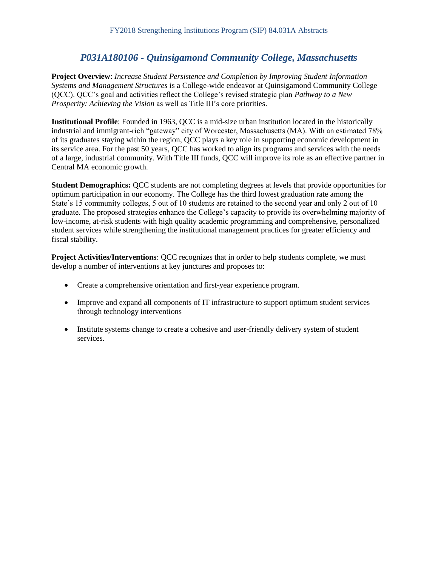# *P031A180106 - Quinsigamond Community College, Massachusetts*

**Project Overview**: *Increase Student Persistence and Completion by Improving Student Information Systems and Management Structures* is a College-wide endeavor at Quinsigamond Community College (QCC). QCC's goal and activities reflect the College's revised strategic plan *Pathway to a New Prosperity: Achieving the Vision* as well as Title III's core priorities.

**Institutional Profile**: Founded in 1963, QCC is a mid-size urban institution located in the historically industrial and immigrant-rich "gateway" city of Worcester, Massachusetts (MA). With an estimated 78% of its graduates staying within the region, QCC plays a key role in supporting economic development in its service area. For the past 50 years, QCC has worked to align its programs and services with the needs of a large, industrial community. With Title III funds, QCC will improve its role as an effective partner in Central MA economic growth.

**Student Demographics:** QCC students are not completing degrees at levels that provide opportunities for optimum participation in our economy. The College has the third lowest graduation rate among the State's 15 community colleges, 5 out of 10 students are retained to the second year and only 2 out of 10 graduate. The proposed strategies enhance the College's capacity to provide its overwhelming majority of low-income, at-risk students with high quality academic programming and comprehensive, personalized student services while strengthening the institutional management practices for greater efficiency and fiscal stability.

**Project Activities/Interventions**: QCC recognizes that in order to help students complete, we must develop a number of interventions at key junctures and proposes to:

- Create a comprehensive orientation and first-year experience program.
- Improve and expand all components of IT infrastructure to support optimum student services through technology interventions
- Institute systems change to create a cohesive and user-friendly delivery system of student services.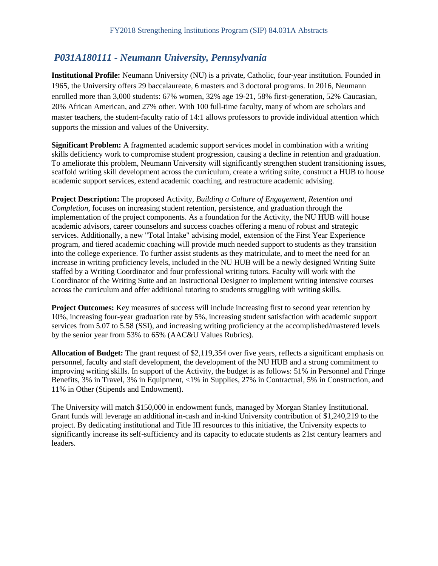## *P031A180111 - Neumann University, Pennsylvania*

**Institutional Profile:** Neumann University (NU) is a private, Catholic, four-year institution. Founded in 1965, the University offers 29 baccalaureate, 6 masters and 3 doctoral programs. In 2016, Neumann enrolled more than 3,000 students: 67% women, 32% age 19-21, 58% first-generation, 52% Caucasian, 20% African American, and 27% other. With 100 full-time faculty, many of whom are scholars and master teachers, the student-faculty ratio of 14:1 allows professors to provide individual attention which supports the mission and values of the University.

**Significant Problem:** A fragmented academic support services model in combination with a writing skills deficiency work to compromise student progression, causing a decline in retention and graduation. To ameliorate this problem, Neumann University will significantly strengthen student transitioning issues, scaffold writing skill development across the curriculum, create a writing suite, construct a HUB to house academic support services, extend academic coaching, and restructure academic advising.

**Project Description:** The proposed Activity, *Building a Culture of Engagement, Retention and Completion,* focuses on increasing student retention, persistence, and graduation through the implementation of the project components. As a foundation for the Activity, the NU HUB will house academic advisors, career counselors and success coaches offering a menu of robust and strategic services. Additionally, a new "Total Intake" advising model, extension of the First Year Experience program, and tiered academic coaching will provide much needed support to students as they transition into the college experience. To further assist students as they matriculate, and to meet the need for an increase in writing proficiency levels, included in the NU HUB will be a newly designed Writing Suite staffed by a Writing Coordinator and four professional writing tutors. Faculty will work with the Coordinator of the Writing Suite and an Instructional Designer to implement writing intensive courses across the curriculum and offer additional tutoring to students struggling with writing skills.

**Project Outcomes:** Key measures of success will include increasing first to second year retention by 10%, increasing four-year graduation rate by 5%, increasing student satisfaction with academic support services from 5.07 to 5.58 (SSI), and increasing writing proficiency at the accomplished/mastered levels by the senior year from 53% to 65% (AAC&U Values Rubrics).

**Allocation of Budget:** The grant request of \$2,119,354 over five years, reflects a significant emphasis on personnel, faculty and staff development, the development of the NU HUB and a strong commitment to improving writing skills. In support of the Activity, the budget is as follows: 51% in Personnel and Fringe Benefits, 3% in Travel, 3% in Equipment, <1% in Supplies, 27% in Contractual, 5% in Construction, and 11% in Other (Stipends and Endowment).

The University will match \$150,000 in endowment funds, managed by Morgan Stanley Institutional. Grant funds will leverage an additional in-cash and in-kind University contribution of \$1,240,219 to the project. By dedicating institutional and Title III resources to this initiative, the University expects to significantly increase its self-sufficiency and its capacity to educate students as 21st century learners and leaders.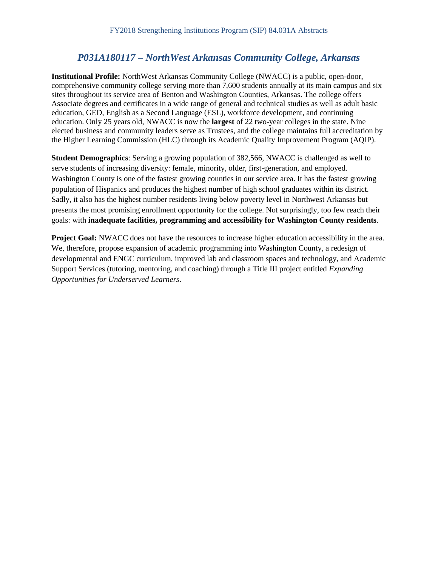### *P031A180117 – NorthWest Arkansas Community College, Arkansas*

**Institutional Profile:** NorthWest Arkansas Community College (NWACC) is a public, open-door, comprehensive community college serving more than 7,600 students annually at its main campus and six sites throughout its service area of Benton and Washington Counties, Arkansas. The college offers Associate degrees and certificates in a wide range of general and technical studies as well as adult basic education, GED, English as a Second Language (ESL), workforce development, and continuing education. Only 25 years old, NWACC is now the **largest** of 22 two-year colleges in the state. Nine elected business and community leaders serve as Trustees, and the college maintains full accreditation by the Higher Learning Commission (HLC) through its Academic Quality Improvement Program (AQIP).

**Student Demographics**: Serving a growing population of 382,566, NWACC is challenged as well to serve students of increasing diversity: female, minority, older, first-generation, and employed. Washington County is one of the fastest growing counties in our service area. It has the fastest growing population of Hispanics and produces the highest number of high school graduates within its district. Sadly, it also has the highest number residents living below poverty level in Northwest Arkansas but presents the most promising enrollment opportunity for the college. Not surprisingly, too few reach their goals: with **inadequate facilities, programming and accessibility for Washington County residents**.

**Project Goal:** NWACC does not have the resources to increase higher education accessibility in the area. We, therefore, propose expansion of academic programming into Washington County, a redesign of developmental and ENGC curriculum, improved lab and classroom spaces and technology, and Academic Support Services (tutoring, mentoring, and coaching) through a Title III project entitled *Expanding Opportunities for Underserved Learners*.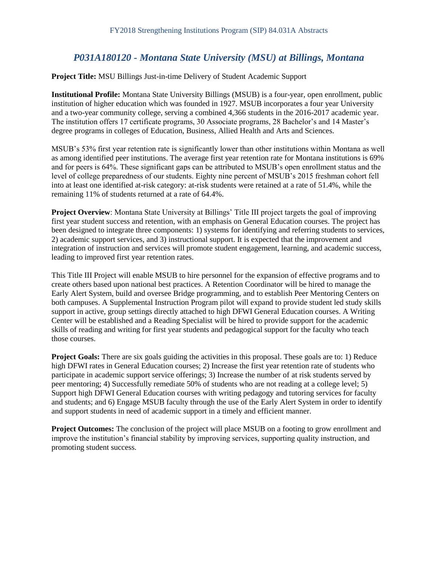# *P031A180120 - Montana State University (MSU) at Billings, Montana*

**Project Title:** MSU Billings Just-in-time Delivery of Student Academic Support

**Institutional Profile:** Montana State University Billings (MSUB) is a four-year, open enrollment, public institution of higher education which was founded in 1927. MSUB incorporates a four year University and a two-year community college, serving a combined 4,366 students in the 2016-2017 academic year. The institution offers 17 certificate programs, 30 Associate programs, 28 Bachelor's and 14 Master's degree programs in colleges of Education, Business, Allied Health and Arts and Sciences.

MSUB's 53% first year retention rate is significantly lower than other institutions within Montana as well as among identified peer institutions. The average first year retention rate for Montana institutions is 69% and for peers is 64%. These significant gaps can be attributed to MSUB's open enrollment status and the level of college preparedness of our students. Eighty nine percent of MSUB's 2015 freshman cohort fell into at least one identified at-risk category: at-risk students were retained at a rate of 51.4%, while the remaining 11% of students returned at a rate of 64.4%.

**Project Overview**: Montana State University at Billings' Title III project targets the goal of improving first year student success and retention, with an emphasis on General Education courses. The project has been designed to integrate three components: 1) systems for identifying and referring students to services, 2) academic support services, and 3) instructional support. It is expected that the improvement and integration of instruction and services will promote student engagement, learning, and academic success, leading to improved first year retention rates.

This Title III Project will enable MSUB to hire personnel for the expansion of effective programs and to create others based upon national best practices. A Retention Coordinator will be hired to manage the Early Alert System, build and oversee Bridge programming, and to establish Peer Mentoring Centers on both campuses. A Supplemental Instruction Program pilot will expand to provide student led study skills support in active, group settings directly attached to high DFWI General Education courses. A Writing Center will be established and a Reading Specialist will be hired to provide support for the academic skills of reading and writing for first year students and pedagogical support for the faculty who teach those courses.

**Project Goals:** There are six goals guiding the activities in this proposal. These goals are to: 1) Reduce high DFWI rates in General Education courses; 2) Increase the first year retention rate of students who participate in academic support service offerings; 3) Increase the number of at risk students served by peer mentoring; 4) Successfully remediate 50% of students who are not reading at a college level; 5) Support high DFWI General Education courses with writing pedagogy and tutoring services for faculty and students; and 6) Engage MSUB faculty through the use of the Early Alert System in order to identify and support students in need of academic support in a timely and efficient manner.

**Project Outcomes:** The conclusion of the project will place MSUB on a footing to grow enrollment and improve the institution's financial stability by improving services, supporting quality instruction, and promoting student success.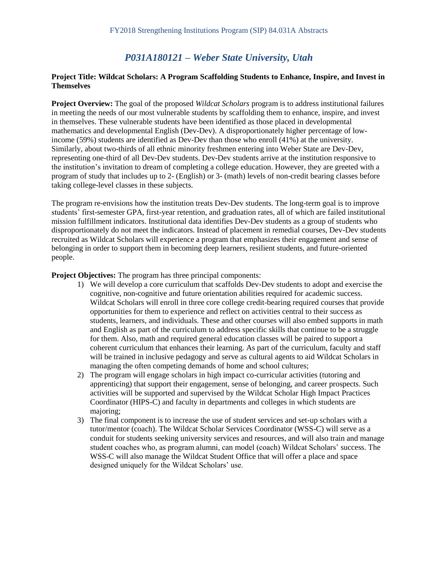### *P031A180121 – Weber State University, Utah*

#### **Project Title: Wildcat Scholars: A Program Scaffolding Students to Enhance, Inspire, and Invest in Themselves**

**Project Overview:** The goal of the proposed *Wildcat Scholars* program is to address institutional failures in meeting the needs of our most vulnerable students by scaffolding them to enhance, inspire, and invest in themselves. These vulnerable students have been identified as those placed in developmental mathematics and developmental English (Dev-Dev). A disproportionately higher percentage of lowincome (59%) students are identified as Dev-Dev than those who enroll (41%) at the university. Similarly, about two-thirds of all ethnic minority freshmen entering into Weber State are Dev-Dev, representing one-third of all Dev-Dev students. Dev-Dev students arrive at the institution responsive to the institution's invitation to dream of completing a college education. However, they are greeted with a program of study that includes up to 2- (English) or 3- (math) levels of non-credit bearing classes before taking college-level classes in these subjects.

The program re-envisions how the institution treats Dev-Dev students. The long-term goal is to improve students' first-semester GPA, first-year retention, and graduation rates, all of which are failed institutional mission fulfillment indicators. Institutional data identifies Dev-Dev students as a group of students who disproportionately do not meet the indicators. Instead of placement in remedial courses, Dev-Dev students recruited as Wildcat Scholars will experience a program that emphasizes their engagement and sense of belonging in order to support them in becoming deep learners, resilient students, and future-oriented people.

**Project Objectives:** The program has three principal components:

- 1) We will develop a core curriculum that scaffolds Dev-Dev students to adopt and exercise the cognitive, non-cognitive and future orientation abilities required for academic success. Wildcat Scholars will enroll in three core college credit-bearing required courses that provide opportunities for them to experience and reflect on activities central to their success as students, learners, and individuals. These and other courses will also embed supports in math and English as part of the curriculum to address specific skills that continue to be a struggle for them. Also, math and required general education classes will be paired to support a coherent curriculum that enhances their learning. As part of the curriculum, faculty and staff will be trained in inclusive pedagogy and serve as cultural agents to aid Wildcat Scholars in managing the often competing demands of home and school cultures;
- 2) The program will engage scholars in high impact co-curricular activities (tutoring and apprenticing) that support their engagement, sense of belonging, and career prospects. Such activities will be supported and supervised by the Wildcat Scholar High Impact Practices Coordinator (HIPS-C) and faculty in departments and colleges in which students are majoring;
- 3) The final component is to increase the use of student services and set-up scholars with a tutor/mentor (coach). The Wildcat Scholar Services Coordinator (WSS-C) will serve as a conduit for students seeking university services and resources, and will also train and manage student coaches who, as program alumni, can model (coach) Wildcat Scholars' success. The WSS-C will also manage the Wildcat Student Office that will offer a place and space designed uniquely for the Wildcat Scholars' use.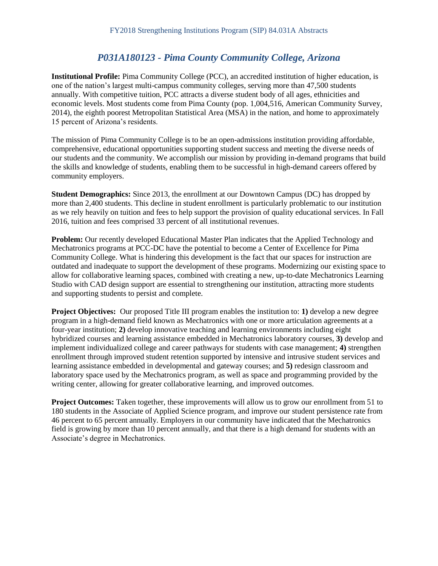# *P031A180123 - Pima County Community College, Arizona*

**Institutional Profile:** Pima Community College (PCC), an accredited institution of higher education, is one of the nation's largest multi-campus community colleges, serving more than 47,500 students annually. With competitive tuition, PCC attracts a diverse student body of all ages, ethnicities and economic levels. Most students come from Pima County (pop. 1,004,516, American Community Survey, 2014), the eighth poorest Metropolitan Statistical Area (MSA) in the nation, and home to approximately 15 percent of Arizona's residents.

The mission of Pima Community College is to be an open-admissions institution providing affordable, comprehensive, educational opportunities supporting student success and meeting the diverse needs of our students and the community. We accomplish our mission by providing in-demand programs that build the skills and knowledge of students, enabling them to be successful in high-demand careers offered by community employers.

**Student Demographics:** Since 2013, the enrollment at our Downtown Campus (DC) has dropped by more than 2,400 students. This decline in student enrollment is particularly problematic to our institution as we rely heavily on tuition and fees to help support the provision of quality educational services. In Fall 2016, tuition and fees comprised 33 percent of all institutional revenues.

**Problem:** Our recently developed Educational Master Plan indicates that the Applied Technology and Mechatronics programs at PCC-DC have the potential to become a Center of Excellence for Pima Community College. What is hindering this development is the fact that our spaces for instruction are outdated and inadequate to support the development of these programs. Modernizing our existing space to allow for collaborative learning spaces, combined with creating a new, up-to-date Mechatronics Learning Studio with CAD design support are essential to strengthening our institution, attracting more students and supporting students to persist and complete.

**Project Objectives:** Our proposed Title III program enables the institution to: **1)** develop a new degree program in a high-demand field known as Mechatronics with one or more articulation agreements at a four-year institution; **2)** develop innovative teaching and learning environments including eight hybridized courses and learning assistance embedded in Mechatronics laboratory courses, **3)** develop and implement individualized college and career pathways for students with case management; **4)** strengthen enrollment through improved student retention supported by intensive and intrusive student services and learning assistance embedded in developmental and gateway courses; and **5)** redesign classroom and laboratory space used by the Mechatronics program, as well as space and programming provided by the writing center, allowing for greater collaborative learning, and improved outcomes.

**Project Outcomes:** Taken together, these improvements will allow us to grow our enrollment from 51 to 180 students in the Associate of Applied Science program, and improve our student persistence rate from 46 percent to 65 percent annually. Employers in our community have indicated that the Mechatronics field is growing by more than 10 percent annually, and that there is a high demand for students with an Associate's degree in Mechatronics.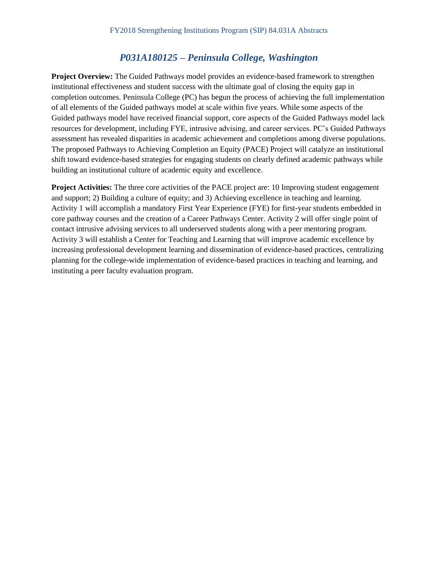# *P031A180125 – Peninsula College, Washington*

**Project Overview:** The Guided Pathways model provides an evidence-based framework to strengthen institutional effectiveness and student success with the ultimate goal of closing the equity gap in completion outcomes. Peninsula College (PC) has begun the process of achieving the full implementation of all elements of the Guided pathways model at scale within five years. While some aspects of the Guided pathways model have received financial support, core aspects of the Guided Pathways model lack resources for development, including FYE, intrusive advising, and career services. PC's Guided Pathways assessment has revealed disparities in academic achievement and completions among diverse populations. The proposed Pathways to Achieving Completion an Equity (PACE) Project will catalyze an institutional shift toward evidence-based strategies for engaging students on clearly defined academic pathways while building an institutional culture of academic equity and excellence.

**Project Activities:** The three core activities of the PACE project are: 10 Improving student engagement and support; 2) Building a culture of equity; and 3) Achieving excellence in teaching and learning. Activity 1 will accomplish a mandatory First Year Experience (FYE) for first-year students embedded in core pathway courses and the creation of a Career Pathways Center. Activity 2 will offer single point of contact intrusive advising services to all underserved students along with a peer mentoring program. Activity 3 will establish a Center for Teaching and Learning that will improve academic excellence by increasing professional development learning and dissemination of evidence-based practices, centralizing planning for the college-wide implementation of evidence-based practices in teaching and learning, and instituting a peer faculty evaluation program.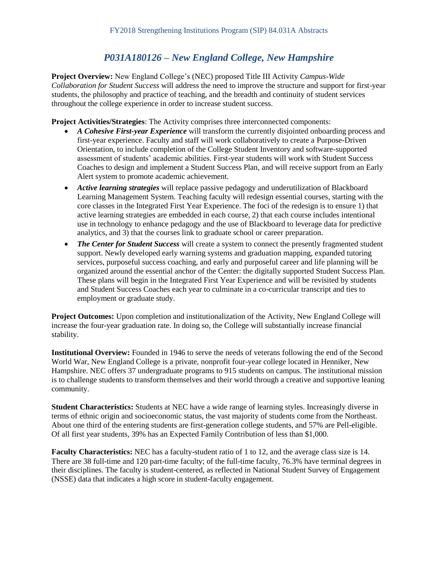# *P031A180126 – New England College, New Hampshire*

**Project Overview:** New England College's (NEC) proposed Title III Activity *Campus-Wide Collaboration for Student Success* will address the need to improve the structure and support for first-year students, the philosophy and practice of teaching, and the breadth and continuity of student services throughout the college experience in order to increase student success.

**Project Activities/Strategies**: The Activity comprises three interconnected components:

- *A Cohesive First-year Experience* will transform the currently disjointed onboarding process and first-year experience. Faculty and staff will work collaboratively to create a Purpose-Driven Orientation, to include completion of the College Student Inventory and software-supported assessment of students' academic abilities. First-year students will work with Student Success Coaches to design and implement a Student Success Plan, and will receive support from an Early Alert system to promote academic achievement.
- *Active learning strategies* will replace passive pedagogy and underutilization of Blackboard Learning Management System. Teaching faculty will redesign essential courses, starting with the core classes in the Integrated First Year Experience. The foci of the redesign is to ensure 1) that active learning strategies are embedded in each course, 2) that each course includes intentional use in technology to enhance pedagogy and the use of Blackboard to leverage data for predictive analytics, and 3) that the courses link to graduate school or career preparation.
- *The Center for Student Success* will create a system to connect the presently fragmented student support. Newly developed early warning systems and graduation mapping, expanded tutoring services, purposeful success coaching, and early and purposeful career and life planning will be organized around the essential anchor of the Center: the digitally supported Student Success Plan. These plans will begin in the Integrated First Year Experience and will be revisited by students and Student Success Coaches each year to culminate in a co-curricular transcript and ties to employment or graduate study.

**Project Outcomes:** Upon completion and institutionalization of the Activity, New England College will increase the four-year graduation rate. In doing so, the College will substantially increase financial stability.

**Institutional Overview:** Founded in 1946 to serve the needs of veterans following the end of the Second World War, New England College is a private, nonprofit four-year college located in Henniker, New Hampshire. NEC offers 37 undergraduate programs to 915 students on campus. The institutional mission is to challenge students to transform themselves and their world through a creative and supportive leaning community.

**Student Characteristics:** Students at NEC have a wide range of learning styles. Increasingly diverse in terms of ethnic origin and socioeconomic status, the vast majority of students come from the Northeast. About one third of the entering students are first-generation college students, and 57% are Pell-eligible. Of all first year students, 39% has an Expected Family Contribution of less than \$1,000.

**Faculty Characteristics:** NEC has a faculty-student ratio of 1 to 12, and the average class size is 14. There are 38 full-time and 120 part-time faculty; of the full-time faculty, 76.3% have terminal degrees in their disciplines. The faculty is student-centered, as reflected in National Student Survey of Engagement (NSSE) data that indicates a high score in student-faculty engagement.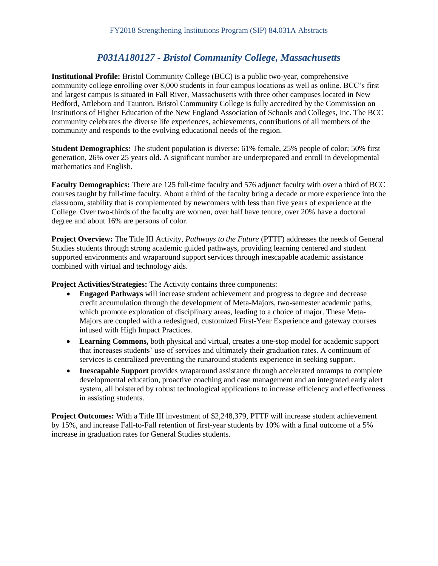# *P031A180127 - Bristol Community College, Massachusetts*

**Institutional Profile:** Bristol Community College (BCC) is a public two-year, comprehensive community college enrolling over 8,000 students in four campus locations as well as online. BCC's first and largest campus is situated in Fall River, Massachusetts with three other campuses located in New Bedford, Attleboro and Taunton. Bristol Community College is fully accredited by the Commission on Institutions of Higher Education of the New England Association of Schools and Colleges, Inc. The BCC community celebrates the diverse life experiences, achievements, contributions of all members of the community and responds to the evolving educational needs of the region.

**Student Demographics:** The student population is diverse: 61% female, 25% people of color; 50% first generation, 26% over 25 years old. A significant number are underprepared and enroll in developmental mathematics and English.

**Faculty Demographics:** There are 125 full-time faculty and 576 adjunct faculty with over a third of BCC courses taught by full-time faculty. About a third of the faculty bring a decade or more experience into the classroom, stability that is complemented by newcomers with less than five years of experience at the College. Over two-thirds of the faculty are women, over half have tenure, over 20% have a doctoral degree and about 16% are persons of color.

**Project Overview:** The Title III Activity, *Pathways to the Future* (PTTF) addresses the needs of General Studies students through strong academic guided pathways, providing learning centered and student supported environments and wraparound support services through inescapable academic assistance combined with virtual and technology aids.

**Project Activities/Strategies:** The Activity contains three components:

- **Engaged Pathways** will increase student achievement and progress to degree and decrease credit accumulation through the development of Meta-Majors, two-semester academic paths, which promote exploration of disciplinary areas, leading to a choice of major. These Meta-Majors are coupled with a redesigned, customized First-Year Experience and gateway courses infused with High Impact Practices.
- **Learning Commons,** both physical and virtual, creates a one-stop model for academic support that increases students' use of services and ultimately their graduation rates. A continuum of services is centralized preventing the runaround students experience in seeking support.
- **Inescapable Support** provides wraparound assistance through accelerated onramps to complete developmental education, proactive coaching and case management and an integrated early alert system, all bolstered by robust technological applications to increase efficiency and effectiveness in assisting students.

**Project Outcomes:** With a Title III investment of \$2,248,379, PTTF will increase student achievement by 15%, and increase Fall-to-Fall retention of first-year students by 10% with a final outcome of a 5% increase in graduation rates for General Studies students.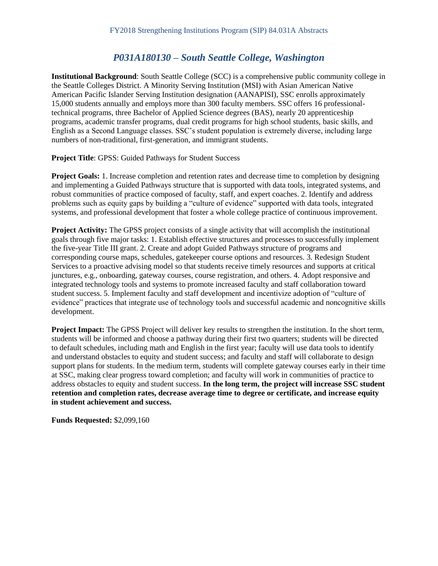### *P031A180130 – South Seattle College, Washington*

**Institutional Background**: South Seattle College (SCC) is a comprehensive public community college in the Seattle Colleges District. A Minority Serving Institution (MSI) with Asian American Native American Pacific Islander Serving Institution designation (AANAPISI), SSC enrolls approximately 15,000 students annually and employs more than 300 faculty members. SSC offers 16 professionaltechnical programs, three Bachelor of Applied Science degrees (BAS), nearly 20 apprenticeship programs, academic transfer programs, dual credit programs for high school students, basic skills, and English as a Second Language classes. SSC's student population is extremely diverse, including large numbers of non-traditional, first-generation, and immigrant students.

**Project Title**: GPSS: Guided Pathways for Student Success

**Project Goals:** 1. Increase completion and retention rates and decrease time to completion by designing and implementing a Guided Pathways structure that is supported with data tools, integrated systems, and robust communities of practice composed of faculty, staff, and expert coaches. 2. Identify and address problems such as equity gaps by building a "culture of evidence" supported with data tools, integrated systems, and professional development that foster a whole college practice of continuous improvement.

**Project Activity:** The GPSS project consists of a single activity that will accomplish the institutional goals through five major tasks: 1. Establish effective structures and processes to successfully implement the five-year Title III grant. 2. Create and adopt Guided Pathways structure of programs and corresponding course maps, schedules, gatekeeper course options and resources. 3. Redesign Student Services to a proactive advising model so that students receive timely resources and supports at critical junctures, e.g., onboarding, gateway courses, course registration, and others. 4. Adopt responsive and integrated technology tools and systems to promote increased faculty and staff collaboration toward student success. 5. Implement faculty and staff development and incentivize adoption of "culture of evidence" practices that integrate use of technology tools and successful academic and noncognitive skills development.

**Project Impact:** The GPSS Project will deliver key results to strengthen the institution. In the short term, students will be informed and choose a pathway during their first two quarters; students will be directed to default schedules, including math and English in the first year; faculty will use data tools to identify and understand obstacles to equity and student success; and faculty and staff will collaborate to design support plans for students. In the medium term, students will complete gateway courses early in their time at SSC, making clear progress toward completion; and faculty will work in communities of practice to address obstacles to equity and student success. **In the long term, the project will increase SSC student retention and completion rates, decrease average time to degree or certificate, and increase equity in student achievement and success.** 

**Funds Requested:** \$2,099,160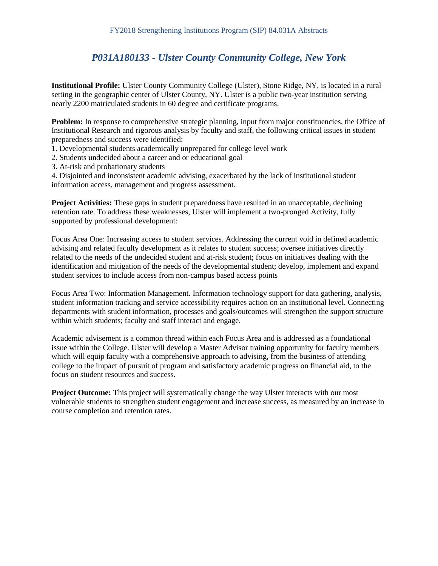# *P031A180133 - Ulster County Community College, New York*

**Institutional Profile:** Ulster County Community College (Ulster), Stone Ridge, NY, is located in a rural setting in the geographic center of Ulster County, NY. Ulster is a public two-year institution serving nearly 2200 matriculated students in 60 degree and certificate programs.

**Problem:** In response to comprehensive strategic planning, input from major constituencies, the Office of Institutional Research and rigorous analysis by faculty and staff, the following critical issues in student preparedness and success were identified:

- 1. Developmental students academically unprepared for college level work
- 2. Students undecided about a career and or educational goal
- 3. At-risk and probationary students

4. Disjointed and inconsistent academic advising, exacerbated by the lack of institutional student information access, management and progress assessment.

**Project Activities:** These gaps in student preparedness have resulted in an unacceptable, declining retention rate. To address these weaknesses, Ulster will implement a two-pronged Activity, fully supported by professional development:

Focus Area One: Increasing access to student services. Addressing the current void in defined academic advising and related faculty development as it relates to student success; oversee initiatives directly related to the needs of the undecided student and at-risk student; focus on initiatives dealing with the identification and mitigation of the needs of the developmental student; develop, implement and expand student services to include access from non-campus based access points

Focus Area Two: Information Management. Information technology support for data gathering, analysis, student information tracking and service accessibility requires action on an institutional level. Connecting departments with student information, processes and goals/outcomes will strengthen the support structure within which students; faculty and staff interact and engage.

Academic advisement is a common thread within each Focus Area and is addressed as a foundational issue within the College. Ulster will develop a Master Advisor training opportunity for faculty members which will equip faculty with a comprehensive approach to advising, from the business of attending college to the impact of pursuit of program and satisfactory academic progress on financial aid, to the focus on student resources and success.

**Project Outcome:** This project will systematically change the way Ulster interacts with our most vulnerable students to strengthen student engagement and increase success, as measured by an increase in course completion and retention rates.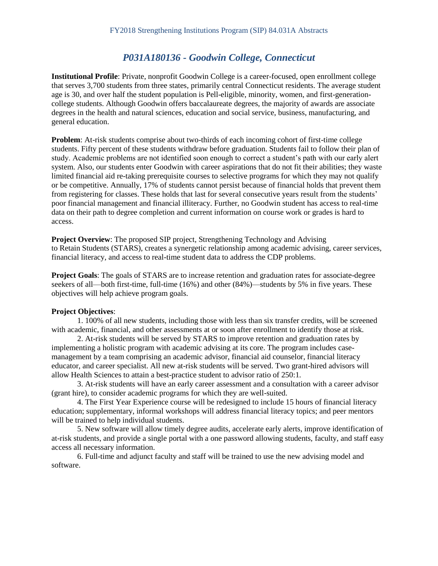# *P031A180136 - Goodwin College, Connecticut*

**Institutional Profile**: Private, nonprofit Goodwin College is a career-focused, open enrollment college that serves 3,700 students from three states, primarily central Connecticut residents. The average student age is 30, and over half the student population is Pell-eligible, minority, women, and first-generationcollege students. Although Goodwin offers baccalaureate degrees, the majority of awards are associate degrees in the health and natural sciences, education and social service, business, manufacturing, and general education.

**Problem:** At-risk students comprise about two-thirds of each incoming cohort of first-time college students. Fifty percent of these students withdraw before graduation. Students fail to follow their plan of study. Academic problems are not identified soon enough to correct a student's path with our early alert system. Also, our students enter Goodwin with career aspirations that do not fit their abilities; they waste limited financial aid re-taking prerequisite courses to selective programs for which they may not qualify or be competitive. Annually, 17% of students cannot persist because of financial holds that prevent them from registering for classes. These holds that last for several consecutive years result from the students' poor financial management and financial illiteracy. Further, no Goodwin student has access to real-time data on their path to degree completion and current information on course work or grades is hard to access.

**Project Overview**: The proposed SIP project, Strengthening Technology and Advising to Retain Students (STARS), creates a synergetic relationship among academic advising, career services, financial literacy, and access to real-time student data to address the CDP problems.

**Project Goals**: The goals of STARS are to increase retention and graduation rates for associate-degree seekers of all—both first-time, full-time (16%) and other (84%)—students by 5% in five years. These objectives will help achieve program goals.

#### **Project Objectives**:

1. 100% of all new students, including those with less than six transfer credits, will be screened with academic, financial, and other assessments at or soon after enrollment to identify those at risk.

2. At-risk students will be served by STARS to improve retention and graduation rates by implementing a holistic program with academic advising at its core. The program includes casemanagement by a team comprising an academic advisor, financial aid counselor, financial literacy educator, and career specialist. All new at-risk students will be served. Two grant-hired advisors will allow Health Sciences to attain a best-practice student to advisor ratio of 250:1.

3. At-risk students will have an early career assessment and a consultation with a career advisor (grant hire), to consider academic programs for which they are well-suited.

4. The First Year Experience course will be redesigned to include 15 hours of financial literacy education; supplementary, informal workshops will address financial literacy topics; and peer mentors will be trained to help individual students.

5. New software will allow timely degree audits, accelerate early alerts, improve identification of at-risk students, and provide a single portal with a one password allowing students, faculty, and staff easy access all necessary information.

6. Full-time and adjunct faculty and staff will be trained to use the new advising model and software.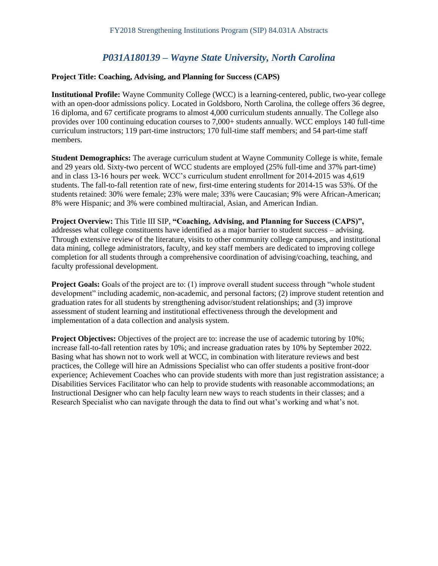# *P031A180139 – Wayne State University, North Carolina*

#### **Project Title: Coaching, Advising, and Planning for Success (CAPS)**

**Institutional Profile:** Wayne Community College (WCC) is a learning-centered, public, two-year college with an open-door admissions policy. Located in Goldsboro, North Carolina, the college offers 36 degree, 16 diploma, and 67 certificate programs to almost 4,000 curriculum students annually. The College also provides over 100 continuing education courses to 7,000+ students annually. WCC employs 140 full-time curriculum instructors; 119 part-time instructors; 170 full-time staff members; and 54 part-time staff members.

**Student Demographics:** The average curriculum student at Wayne Community College is white, female and 29 years old. Sixty-two percent of WCC students are employed (25% full-time and 37% part-time) and in class 13-16 hours per week. WCC's curriculum student enrollment for 2014-2015 was 4,619 students. The fall-to-fall retention rate of new, first-time entering students for 2014-15 was 53%. Of the students retained: 30% were female; 23% were male; 33% were Caucasian; 9% were African-American; 8% were Hispanic; and 3% were combined multiracial, Asian, and American Indian.

**Project Overview:** This Title III SIP, **"Coaching, Advising, and Planning for Success (CAPS)",**  addresses what college constituents have identified as a major barrier to student success – advising. Through extensive review of the literature, visits to other community college campuses, and institutional data mining, college administrators, faculty, and key staff members are dedicated to improving college completion for all students through a comprehensive coordination of advising/coaching, teaching, and faculty professional development.

**Project Goals:** Goals of the project are to: (1) improve overall student success through "whole student" development" including academic, non-academic, and personal factors; (2) improve student retention and graduation rates for all students by strengthening advisor/student relationships; and (3) improve assessment of student learning and institutional effectiveness through the development and implementation of a data collection and analysis system.

**Project Objectives:** Objectives of the project are to: increase the use of academic tutoring by 10%; increase fall-to-fall retention rates by 10%; and increase graduation rates by 10% by September 2022. Basing what has shown not to work well at WCC, in combination with literature reviews and best practices, the College will hire an Admissions Specialist who can offer students a positive front-door experience; Achievement Coaches who can provide students with more than just registration assistance; a Disabilities Services Facilitator who can help to provide students with reasonable accommodations; an Instructional Designer who can help faculty learn new ways to reach students in their classes; and a Research Specialist who can navigate through the data to find out what's working and what's not.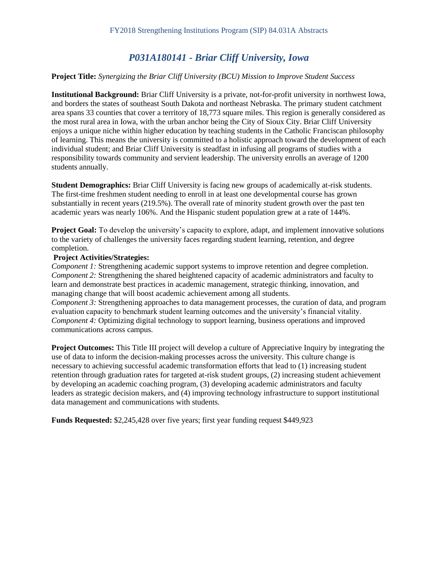# *P031A180141 - Briar Cliff University, Iowa*

#### **Project Title:** *Synergizing the Briar Cliff University (BCU) Mission to Improve Student Success*

**Institutional Background:** Briar Cliff University is a private, not-for-profit university in northwest Iowa, and borders the states of southeast South Dakota and northeast Nebraska. The primary student catchment area spans 33 counties that cover a territory of 18,773 square miles. This region is generally considered as the most rural area in Iowa, with the urban anchor being the City of Sioux City. Briar Cliff University enjoys a unique niche within higher education by teaching students in the Catholic Franciscan philosophy of learning. This means the university is committed to a holistic approach toward the development of each individual student; and Briar Cliff University is steadfast in infusing all programs of studies with a responsibility towards community and servient leadership. The university enrolls an average of 1200 students annually.

**Student Demographics:** Briar Cliff University is facing new groups of academically at-risk students. The first-time freshmen student needing to enroll in at least one developmental course has grown substantially in recent years (219.5%). The overall rate of minority student growth over the past ten academic years was nearly 106%. And the Hispanic student population grew at a rate of 144%.

**Project Goal:** To develop the university's capacity to explore, adapt, and implement innovative solutions to the variety of challenges the university faces regarding student learning, retention, and degree completion.

#### **Project Activities/Strategies:**

*Component 1:* Strengthening academic support systems to improve retention and degree completion. *Component 2:* Strengthening the shared heightened capacity of academic administrators and faculty to learn and demonstrate best practices in academic management, strategic thinking, innovation, and managing change that will boost academic achievement among all students.

*Component 3:* Strengthening approaches to data management processes, the curation of data, and program evaluation capacity to benchmark student learning outcomes and the university's financial vitality. *Component 4:* Optimizing digital technology to support learning, business operations and improved communications across campus.

**Project Outcomes:** This Title III project will develop a culture of Appreciative Inquiry by integrating the use of data to inform the decision-making processes across the university. This culture change is necessary to achieving successful academic transformation efforts that lead to (1) increasing student retention through graduation rates for targeted at-risk student groups, (2) increasing student achievement by developing an academic coaching program, (3) developing academic administrators and faculty leaders as strategic decision makers, and (4) improving technology infrastructure to support institutional data management and communications with students.

**Funds Requested:** \$2,245,428 over five years; first year funding request \$449,923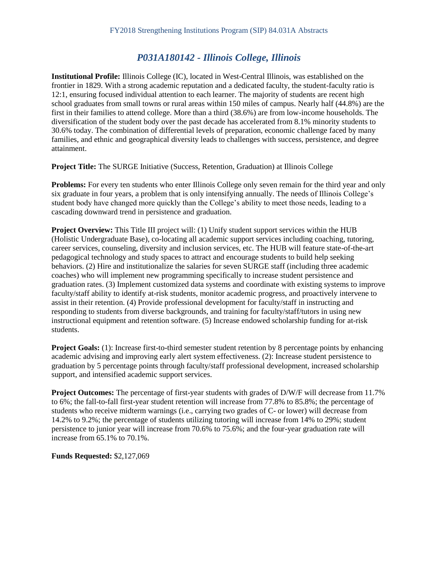# *P031A180142 - Illinois College, Illinois*

**Institutional Profile:** Illinois College (IC), located in West-Central Illinois, was established on the frontier in 1829. With a strong academic reputation and a dedicated faculty, the student-faculty ratio is 12:1, ensuring focused individual attention to each learner. The majority of students are recent high school graduates from small towns or rural areas within 150 miles of campus. Nearly half (44.8%) are the first in their families to attend college. More than a third (38.6%) are from low-income households. The diversification of the student body over the past decade has accelerated from 8.1% minority students to 30.6% today. The combination of differential levels of preparation, economic challenge faced by many families, and ethnic and geographical diversity leads to challenges with success, persistence, and degree attainment.

**Project Title:** The SURGE Initiative (Success, Retention, Graduation) at Illinois College

**Problems:** For every ten students who enter Illinois College only seven remain for the third year and only six graduate in four years, a problem that is only intensifying annually. The needs of Illinois College's student body have changed more quickly than the College's ability to meet those needs, leading to a cascading downward trend in persistence and graduation.

**Project Overview:** This Title III project will: (1) Unify student support services within the HUB (Holistic Undergraduate Base), co-locating all academic support services including coaching, tutoring, career services, counseling, diversity and inclusion services, etc. The HUB will feature state-of-the-art pedagogical technology and study spaces to attract and encourage students to build help seeking behaviors. (2) Hire and institutionalize the salaries for seven SURGE staff (including three academic coaches) who will implement new programming specifically to increase student persistence and graduation rates. (3) Implement customized data systems and coordinate with existing systems to improve faculty/staff ability to identify at-risk students, monitor academic progress, and proactively intervene to assist in their retention. (4) Provide professional development for faculty/staff in instructing and responding to students from diverse backgrounds, and training for faculty/staff/tutors in using new instructional equipment and retention software. (5) Increase endowed scholarship funding for at-risk students.

**Project Goals:** (1): Increase first-to-third semester student retention by 8 percentage points by enhancing academic advising and improving early alert system effectiveness. (2): Increase student persistence to graduation by 5 percentage points through faculty/staff professional development, increased scholarship support, and intensified academic support services.

**Project Outcomes:** The percentage of first-year students with grades of D/W/F will decrease from 11.7% to 6%; the fall-to-fall first-year student retention will increase from 77.8% to 85.8%; the percentage of students who receive midterm warnings (i.e., carrying two grades of C- or lower) will decrease from 14.2% to 9.2%; the percentage of students utilizing tutoring will increase from 14% to 29%; student persistence to junior year will increase from 70.6% to 75.6%; and the four-year graduation rate will increase from 65.1% to 70.1%.

**Funds Requested:** \$2,127,069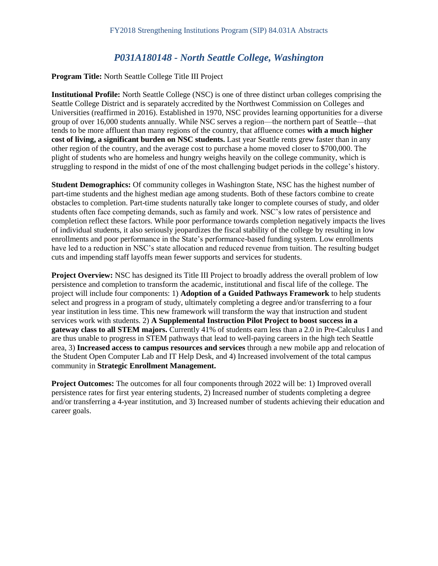### *P031A180148 - North Seattle College, Washington*

#### **Program Title:** North Seattle College Title III Project

**Institutional Profile:** North Seattle College (NSC) is one of three distinct urban colleges comprising the Seattle College District and is separately accredited by the Northwest Commission on Colleges and Universities (reaffirmed in 2016). Established in 1970, NSC provides learning opportunities for a diverse group of over 16,000 students annually. While NSC serves a region—the northern part of Seattle—that tends to be more affluent than many regions of the country, that affluence comes **with a much higher cost of living, a significant burden on NSC students.** Last year Seattle rents grew faster than in any other region of the country, and the average cost to purchase a home moved closer to \$700,000. The plight of students who are homeless and hungry weighs heavily on the college community, which is struggling to respond in the midst of one of the most challenging budget periods in the college's history.

**Student Demographics:** Of community colleges in Washington State, NSC has the highest number of part-time students and the highest median age among students. Both of these factors combine to create obstacles to completion. Part-time students naturally take longer to complete courses of study, and older students often face competing demands, such as family and work. NSC's low rates of persistence and completion reflect these factors. While poor performance towards completion negatively impacts the lives of individual students, it also seriously jeopardizes the fiscal stability of the college by resulting in low enrollments and poor performance in the State's performance-based funding system. Low enrollments have led to a reduction in NSC's state allocation and reduced revenue from tuition. The resulting budget cuts and impending staff layoffs mean fewer supports and services for students.

**Project Overview:** NSC has designed its Title III Project to broadly address the overall problem of low persistence and completion to transform the academic, institutional and fiscal life of the college. The project will include four components: 1) **Adoption of a Guided Pathways Framework** to help students select and progress in a program of study, ultimately completing a degree and/or transferring to a four year institution in less time. This new framework will transform the way that instruction and student services work with students. 2) **A Supplemental Instruction Pilot Project to boost success in a gateway class to all STEM majors.** Currently 41% of students earn less than a 2.0 in Pre-Calculus I and are thus unable to progress in STEM pathways that lead to well-paying careers in the high tech Seattle area, 3) **Increased access to campus resources and services** through a new mobile app and relocation of the Student Open Computer Lab and IT Help Desk, and 4) Increased involvement of the total campus community in **Strategic Enrollment Management.** 

**Project Outcomes:** The outcomes for all four components through 2022 will be: 1) Improved overall persistence rates for first year entering students, 2) Increased number of students completing a degree and/or transferring a 4-year institution, and 3) Increased number of students achieving their education and career goals.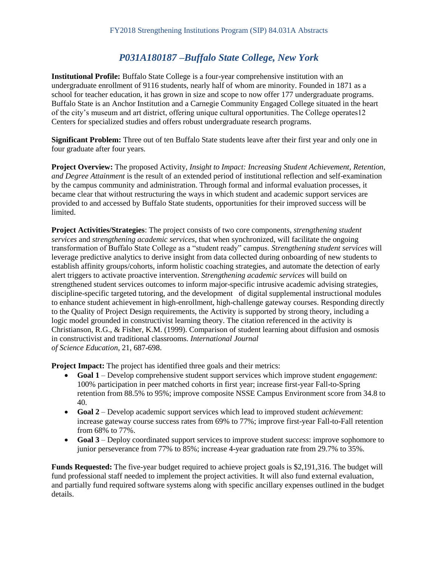# *P031A180187 –Buffalo State College, New York*

**Institutional Profile:** Buffalo State College is a four-year comprehensive institution with an undergraduate enrollment of 9116 students, nearly half of whom are minority. Founded in 1871 as a school for teacher education, it has grown in size and scope to now offer 177 undergraduate programs. Buffalo State is an Anchor Institution and a Carnegie Community Engaged College situated in the heart of the city's museum and art district, offering unique cultural opportunities. The College operates12 Centers for specialized studies and offers robust undergraduate research programs.

**Significant Problem:** Three out of ten Buffalo State students leave after their first year and only one in four graduate after four years.

**Project Overview:** The proposed Activity, *Insight to Impact: Increasing Student Achievement, Retention, and Degree Attainment* is the result of an extended period of institutional reflection and self-examination by the campus community and administration. Through formal and informal evaluation processes, it became clear that without restructuring the ways in which student and academic support services are provided to and accessed by Buffalo State students, opportunities for their improved success will be limited.

**Project Activities/Strategies**: The project consists of two core components, *strengthening student services* and *strengthening academic services,* that when synchronized, will facilitate the ongoing transformation of Buffalo State College as a "student ready" campus. *Strengthening student services* will leverage predictive analytics to derive insight from data collected during onboarding of new students to establish affinity groups/cohorts, inform holistic coaching strategies, and automate the detection of early alert triggers to activate proactive intervention. *Strengthening academic services* will build on strengthened student services outcomes to inform major-specific intrusive academic advising strategies, discipline-specific targeted tutoring, and the development of digital supplemental instructional modules to enhance student achievement in high-enrollment, high-challenge gateway courses. Responding directly to the Quality of Project Design requirements, the Activity is supported by strong theory, including a logic model grounded in constructivist learning theory. The citation referenced in the activity is Christianson, R.G., & Fisher, K.M. (1999). Comparison of student learning about diffusion and osmosis in constructivist and traditional classrooms. *International Journal of Science Education*, 21, 687-698.

**Project Impact:** The project has identified three goals and their metrics:

- **Goal 1**  Develop comprehensive student support services which improve student *engagement*: 100% participation in peer matched cohorts in first year; increase first-year Fall-to-Spring retention from 88.5% to 95%; improve composite NSSE Campus Environment score from 34.8 to 40.
- **Goal 2**  Develop academic support services which lead to improved student *achievement*: increase gateway course success rates from 69% to 77%; improve first-year Fall-to-Fall retention from 68% to 77%.
- **Goal 3**  Deploy coordinated support services to improve student *success*: improve sophomore to junior perseverance from 77% to 85%; increase 4-year graduation rate from 29.7% to 35%.

**Funds Requested:** The five-year budget required to achieve project goals is \$2,191,316. The budget will fund professional staff needed to implement the project activities. It will also fund external evaluation, and partially fund required software systems along with specific ancillary expenses outlined in the budget details.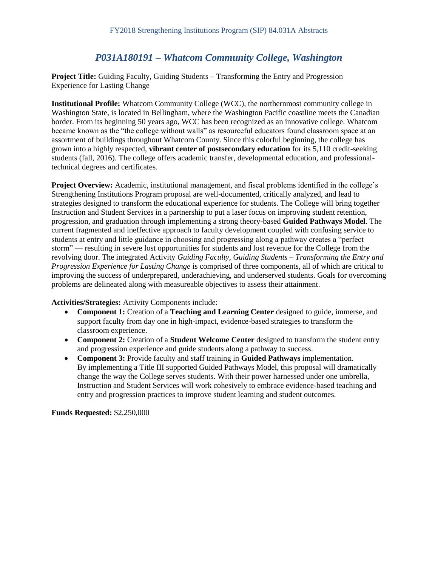# *P031A180191 – Whatcom Community College, Washington*

**Project Title:** Guiding Faculty, Guiding Students – Transforming the Entry and Progression Experience for Lasting Change

**Institutional Profile:** Whatcom Community College (WCC), the northernmost community college in Washington State, is located in Bellingham, where the Washington Pacific coastline meets the Canadian border. From its beginning 50 years ago, WCC has been recognized as an innovative college. Whatcom became known as the "the college without walls" as resourceful educators found classroom space at an assortment of buildings throughout Whatcom County. Since this colorful beginning, the college has grown into a highly respected, **vibrant center of postsecondary education** for its 5,110 credit-seeking students (fall, 2016). The college offers academic transfer, developmental education, and professionaltechnical degrees and certificates.

**Project Overview:** Academic, institutional management, and fiscal problems identified in the college's Strengthening Institutions Program proposal are well-documented, critically analyzed, and lead to strategies designed to transform the educational experience for students. The College will bring together Instruction and Student Services in a partnership to put a laser focus on improving student retention, progression, and graduation through implementing a strong theory-based **Guided Pathways Model**. The current fragmented and ineffective approach to faculty development coupled with confusing service to students at entry and little guidance in choosing and progressing along a pathway creates a "perfect storm" — resulting in severe lost opportunities for students and lost revenue for the College from the revolving door. The integrated Activity *Guiding Faculty, Guiding Students – Transforming the Entry and Progression Experience for Lasting Change* is comprised of three components, all of which are critical to improving the success of underprepared, underachieving, and underserved students. Goals for overcoming problems are delineated along with measureable objectives to assess their attainment.

**Activities/Strategies:** Activity Components include:

- **Component 1:** Creation of a **Teaching and Learning Center** designed to guide, immerse, and support faculty from day one in high-impact, evidence-based strategies to transform the classroom experience.
- Component 2: Creation of a **Student Welcome Center** designed to transform the student entry and progression experience and guide students along a pathway to success.
- **Component 3:** Provide faculty and staff training in **Guided Pathways** implementation. By implementing a Title III supported Guided Pathways Model, this proposal will dramatically change the way the College serves students. With their power harnessed under one umbrella, Instruction and Student Services will work cohesively to embrace evidence-based teaching and entry and progression practices to improve student learning and student outcomes.

**Funds Requested:** \$2,250,000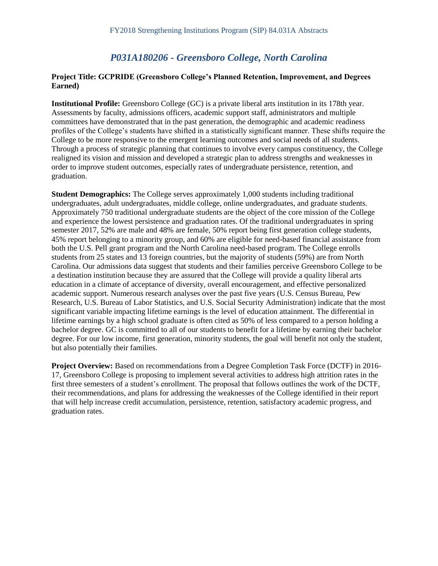### *P031A180206 - Greensboro College, North Carolina*

#### **Project Title: GCPRIDE (Greensboro College's Planned Retention, Improvement, and Degrees Earned)**

**Institutional Profile:** Greensboro College (GC) is a private liberal arts institution in its 178th year. Assessments by faculty, admissions officers, academic support staff, administrators and multiple committees have demonstrated that in the past generation, the demographic and academic readiness profiles of the College's students have shifted in a statistically significant manner. These shifts require the College to be more responsive to the emergent learning outcomes and social needs of all students. Through a process of strategic planning that continues to involve every campus constituency, the College realigned its vision and mission and developed a strategic plan to address strengths and weaknesses in order to improve student outcomes, especially rates of undergraduate persistence, retention, and graduation.

**Student Demographics:** The College serves approximately 1,000 students including traditional undergraduates, adult undergraduates, middle college, online undergraduates, and graduate students. Approximately 750 traditional undergraduate students are the object of the core mission of the College and experience the lowest persistence and graduation rates. Of the traditional undergraduates in spring semester 2017, 52% are male and 48% are female, 50% report being first generation college students, 45% report belonging to a minority group, and 60% are eligible for need-based financial assistance from both the U.S. Pell grant program and the North Carolina need-based program. The College enrolls students from 25 states and 13 foreign countries, but the majority of students (59%) are from North Carolina. Our admissions data suggest that students and their families perceive Greensboro College to be a destination institution because they are assured that the College will provide a quality liberal arts education in a climate of acceptance of diversity, overall encouragement, and effective personalized academic support. Numerous research analyses over the past five years (U.S. Census Bureau, Pew Research, U.S. Bureau of Labor Statistics, and U.S. Social Security Administration) indicate that the most significant variable impacting lifetime earnings is the level of education attainment. The differential in lifetime earnings by a high school graduate is often cited as 50% of less compared to a person holding a bachelor degree. GC is committed to all of our students to benefit for a lifetime by earning their bachelor degree. For our low income, first generation, minority students, the goal will benefit not only the student, but also potentially their families.

**Project Overview:** Based on recommendations from a Degree Completion Task Force (DCTF) in 2016- 17, Greensboro College is proposing to implement several activities to address high attrition rates in the first three semesters of a student's enrollment. The proposal that follows outlines the work of the DCTF, their recommendations, and plans for addressing the weaknesses of the College identified in their report that will help increase credit accumulation, persistence, retention, satisfactory academic progress, and graduation rates.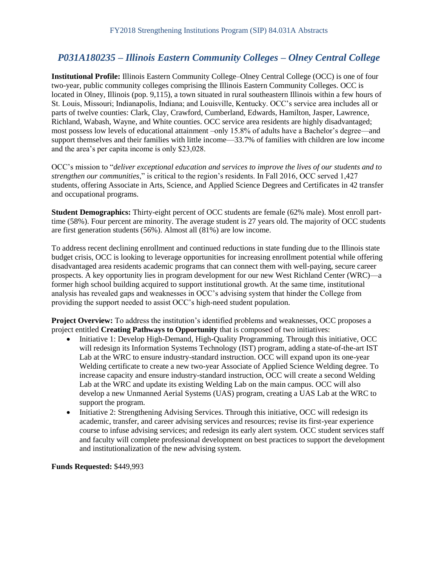# *P031A180235 – Illinois Eastern Community Colleges – Olney Central College*

**Institutional Profile:** Illinois Eastern Community College–Olney Central College (OCC) is one of four two-year, public community colleges comprising the Illinois Eastern Community Colleges. OCC is located in Olney, Illinois (pop. 9,115), a town situated in rural southeastern Illinois within a few hours of St. Louis, Missouri; Indianapolis, Indiana; and Louisville, Kentucky. OCC's service area includes all or parts of twelve counties: Clark, Clay, Crawford, Cumberland, Edwards, Hamilton, Jasper, Lawrence, Richland, Wabash, Wayne, and White counties. OCC service area residents are highly disadvantaged; most possess low levels of educational attainment –only 15.8% of adults have a Bachelor's degree—and support themselves and their families with little income—33.7% of families with children are low income and the area's per capita income is only \$23,028.

OCC's mission to "*deliver exceptional education and services to improve the lives of our students and to strengthen our communities*," is critical to the region's residents. In Fall 2016, OCC served 1,427 students, offering Associate in Arts, Science, and Applied Science Degrees and Certificates in 42 transfer and occupational programs.

**Student Demographics:** Thirty-eight percent of OCC students are female (62% male). Most enroll parttime (58%). Four percent are minority. The average student is 27 years old. The majority of OCC students are first generation students (56%). Almost all (81%) are low income.

To address recent declining enrollment and continued reductions in state funding due to the Illinois state budget crisis, OCC is looking to leverage opportunities for increasing enrollment potential while offering disadvantaged area residents academic programs that can connect them with well-paying, secure career prospects. A key opportunity lies in program development for our new West Richland Center (WRC)—a former high school building acquired to support institutional growth. At the same time, institutional analysis has revealed gaps and weaknesses in OCC's advising system that hinder the College from providing the support needed to assist OCC's high-need student population.

**Project Overview:** To address the institution's identified problems and weaknesses, OCC proposes a project entitled **Creating Pathways to Opportunity** that is composed of two initiatives:

- Initiative 1: Develop High-Demand, High-Quality Programming. Through this initiative, OCC will redesign its Information Systems Technology (IST) program, adding a state-of-the-art IST Lab at the WRC to ensure industry-standard instruction. OCC will expand upon its one-year Welding certificate to create a new two-year Associate of Applied Science Welding degree. To increase capacity and ensure industry-standard instruction, OCC will create a second Welding Lab at the WRC and update its existing Welding Lab on the main campus. OCC will also develop a new Unmanned Aerial Systems (UAS) program, creating a UAS Lab at the WRC to support the program.
- Initiative 2: Strengthening Advising Services. Through this initiative, OCC will redesign its academic, transfer, and career advising services and resources; revise its first-year experience course to infuse advising services; and redesign its early alert system. OCC student services staff and faculty will complete professional development on best practices to support the development and institutionalization of the new advising system.

**Funds Requested:** \$449,993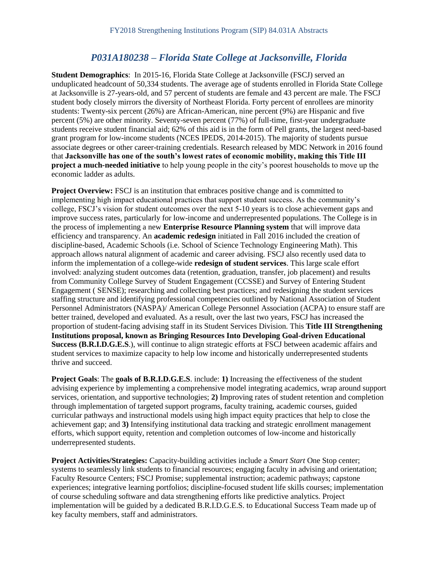# *P031A180238 – Florida State College at Jacksonville, Florida*

**Student Demographics**: In 2015-16, Florida State College at Jacksonville (FSCJ) served an unduplicated headcount of 50,334 students. The average age of students enrolled in Florida State College at Jacksonville is 27-years-old, and 57 percent of students are female and 43 percent are male. The FSCJ student body closely mirrors the diversity of Northeast Florida. Forty percent of enrollees are minority students: Twenty-six percent (26%) are African-American, nine percent (9%) are Hispanic and five percent (5%) are other minority. Seventy-seven percent (77%) of full-time, first-year undergraduate students receive student financial aid; 62% of this aid is in the form of Pell grants, the largest need-based grant program for low-income students (NCES IPEDS, 2014-2015). The majority of students pursue associate degrees or other career-training credentials. Research released by MDC Network in 2016 found that **Jacksonville has one of the south's lowest rates of economic mobility, making this Title III project a much-needed initiative** to help young people in the city's poorest households to move up the economic ladder as adults.

**Project Overview:** FSCJ is an institution that embraces positive change and is committed to implementing high impact educational practices that support student success. As the community's college, FSCJ's vision for student outcomes over the next 5-10 years is to close achievement gaps and improve success rates, particularly for low-income and underrepresented populations. The College is in the process of implementing a new **Enterprise Resource Planning system** that will improve data efficiency and transparency. An **academic redesign** initiated in Fall 2016 included the creation of discipline-based, Academic Schools (i.e. School of Science Technology Engineering Math). This approach allows natural alignment of academic and career advising. FSCJ also recently used data to inform the implementation of a college-wide **redesign of student services**. This large scale effort involved: analyzing student outcomes data (retention, graduation, transfer, job placement) and results from Community College Survey of Student Engagement (CCSSE) and Survey of Entering Student Engagement ( SENSE); researching and collecting best practices; and redesigning the student services staffing structure and identifying professional competencies outlined by National Association of Student Personnel Administrators (NASPA)/ American College Personnel Association (ACPA) to ensure staff are better trained, developed and evaluated. As a result, over the last two years, FSCJ has increased the proportion of student-facing advising staff in its Student Services Division. This **Title III Strengthening Institutions proposal, known as Bringing Resources Into Developing Goal-driven Educational Success (B.R.I.D.G.E.S**.), will continue to align strategic efforts at FSCJ between academic affairs and student services to maximize capacity to help low income and historically underrepresented students thrive and succeed.

**Project Goals**: The **goals of B.R.I.D.G.E.S**. include: **1)** Increasing the effectiveness of the student advising experience by implementing a comprehensive model integrating academics, wrap around support services, orientation, and supportive technologies; **2)** Improving rates of student retention and completion through implementation of targeted support programs, faculty training, academic courses, guided curricular pathways and instructional models using high impact equity practices that help to close the achievement gap; and **3)** Intensifying institutional data tracking and strategic enrollment management efforts, which support equity, retention and completion outcomes of low-income and historically underrepresented students.

**Project Activities/Strategies:** Capacity-building activities include a *Smart Start* One Stop center; systems to seamlessly link students to financial resources; engaging faculty in advising and orientation; Faculty Resource Centers; FSCJ Promise; supplemental instruction; academic pathways; capstone experiences; integrative learning portfolios; discipline-focused student life skills courses; implementation of course scheduling software and data strengthening efforts like predictive analytics. Project implementation will be guided by a dedicated B.R.I.D.G.E.S. to Educational Success Team made up of key faculty members, staff and administrators.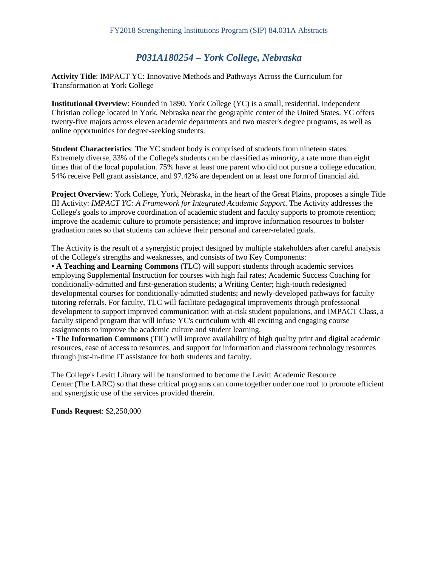# *P031A180254 – York College, Nebraska*

**Activity Title**: IMPACT YC: **I**nnovative **M**ethods and **P**athways **A**cross the **C**urriculum for **T**ransformation at **Y**ork **C**ollege

**Institutional Overview**: Founded in 1890, York College (YC) is a small, residential, independent Christian college located in York, Nebraska near the geographic center of the United States. YC offers twenty-five majors across eleven academic departments and two master's degree programs, as well as online opportunities for degree-seeking students.

**Student Characteristics**: The YC student body is comprised of students from nineteen states. Extremely diverse, 33% of the College's students can be classified as *minority*, a rate more than eight times that of the local population. 75% have at least one parent who did not pursue a college education. 54% receive Pell grant assistance, and 97.42% are dependent on at least one form of financial aid.

**Project Overview**: York College, York, Nebraska, in the heart of the Great Plains, proposes a single Title III Activity: *IMPACT YC: A Framework for Integrated Academic Support*. The Activity addresses the College's goals to improve coordination of academic student and faculty supports to promote retention; improve the academic culture to promote persistence; and improve information resources to bolster graduation rates so that students can achieve their personal and career-related goals.

The Activity is the result of a synergistic project designed by multiple stakeholders after careful analysis of the College's strengths and weaknesses, and consists of two Key Components:

• **A Teaching and Learning Commons** (TLC) will support students through academic services employing Supplemental Instruction for courses with high fail rates; Academic Success Coaching for conditionally-admitted and first-generation students; a Writing Center; high-touch redesigned developmental courses for conditionally-admitted students; and newly-developed pathways for faculty tutoring referrals. For faculty, TLC will facilitate pedagogical improvements through professional development to support improved communication with at-risk student populations, and IMPACT Class, a faculty stipend program that will infuse YC's curriculum with 40 exciting and engaging course assignments to improve the academic culture and student learning.

• **The Information Commons** (TIC) will improve availability of high quality print and digital academic resources, ease of access to resources, and support for information and classroom technology resources through just-in-time IT assistance for both students and faculty.

The College's Levitt Library will be transformed to become the Levitt Academic Resource Center (The LARC) so that these critical programs can come together under one roof to promote efficient and synergistic use of the services provided therein.

**Funds Request**: \$2,250,000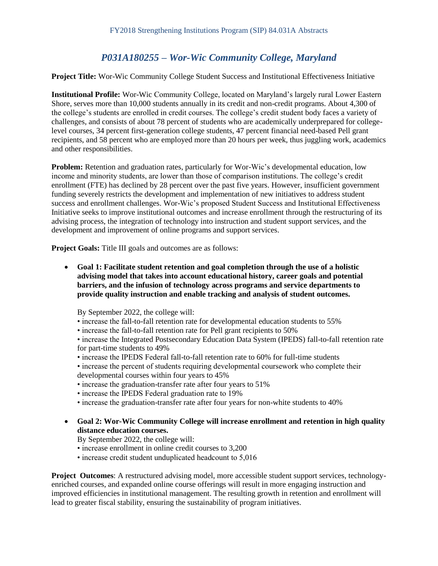# *P031A180255 – Wor-Wic Community College, Maryland*

#### **Project Title:** Wor-Wic Community College Student Success and Institutional Effectiveness Initiative

**Institutional Profile:** Wor-Wic Community College, located on Maryland's largely rural Lower Eastern Shore, serves more than 10,000 students annually in its credit and non-credit programs. About 4,300 of the college's students are enrolled in credit courses. The college's credit student body faces a variety of challenges, and consists of about 78 percent of students who are academically underprepared for collegelevel courses, 34 percent first-generation college students, 47 percent financial need-based Pell grant recipients, and 58 percent who are employed more than 20 hours per week, thus juggling work, academics and other responsibilities.

**Problem:** Retention and graduation rates, particularly for Wor-Wic's developmental education, low income and minority students, are lower than those of comparison institutions. The college's credit enrollment (FTE) has declined by 28 percent over the past five years. However, insufficient government funding severely restricts the development and implementation of new initiatives to address student success and enrollment challenges. Wor-Wic's proposed Student Success and Institutional Effectiveness Initiative seeks to improve institutional outcomes and increase enrollment through the restructuring of its advising process, the integration of technology into instruction and student support services, and the development and improvement of online programs and support services.

**Project Goals:** Title III goals and outcomes are as follows:

 **Goal 1: Facilitate student retention and goal completion through the use of a holistic advising model that takes into account educational history, career goals and potential barriers, and the infusion of technology across programs and service departments to provide quality instruction and enable tracking and analysis of student outcomes.** 

By September 2022, the college will:

- increase the fall-to-fall retention rate for developmental education students to 55%
- increase the fall-to-fall retention rate for Pell grant recipients to 50%

• increase the Integrated Postsecondary Education Data System (IPEDS) fall-to-fall retention rate for part-time students to 49%

- increase the IPEDS Federal fall-to-fall retention rate to 60% for full-time students
- increase the percent of students requiring developmental coursework who complete their developmental courses within four years to 45%
- increase the graduation-transfer rate after four years to 51%
- increase the IPEDS Federal graduation rate to 19%
- increase the graduation-transfer rate after four years for non-white students to 40%
- **Goal 2: Wor-Wic Community College will increase enrollment and retention in high quality distance education courses.**

By September 2022, the college will:

- increase enrollment in online credit courses to 3,200
- increase credit student unduplicated headcount to 5,016

**Project Outcomes**: A restructured advising model, more accessible student support services, technologyenriched courses, and expanded online course offerings will result in more engaging instruction and improved efficiencies in institutional management. The resulting growth in retention and enrollment will lead to greater fiscal stability, ensuring the sustainability of program initiatives.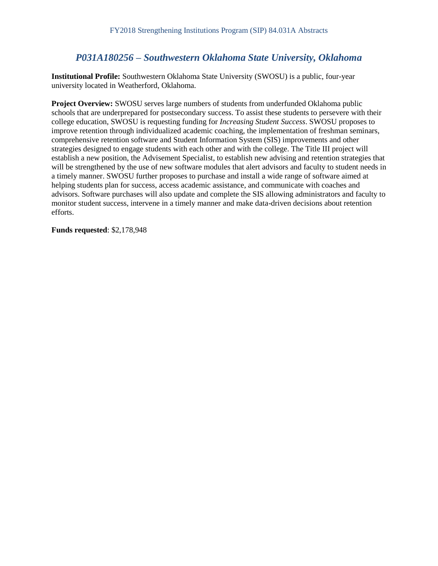### *P031A180256 – Southwestern Oklahoma State University, Oklahoma*

**Institutional Profile:** Southwestern Oklahoma State University (SWOSU) is a public, four-year university located in Weatherford, Oklahoma.

**Project Overview:** SWOSU serves large numbers of students from underfunded Oklahoma public schools that are underprepared for postsecondary success. To assist these students to persevere with their college education, SWOSU is requesting funding for *Increasing Student Success*. SWOSU proposes to improve retention through individualized academic coaching, the implementation of freshman seminars, comprehensive retention software and Student Information System (SIS) improvements and other strategies designed to engage students with each other and with the college. The Title III project will establish a new position, the Advisement Specialist, to establish new advising and retention strategies that will be strengthened by the use of new software modules that alert advisors and faculty to student needs in a timely manner. SWOSU further proposes to purchase and install a wide range of software aimed at helping students plan for success, access academic assistance, and communicate with coaches and advisors. Software purchases will also update and complete the SIS allowing administrators and faculty to monitor student success, intervene in a timely manner and make data-driven decisions about retention efforts.

**Funds requested**: \$2,178,948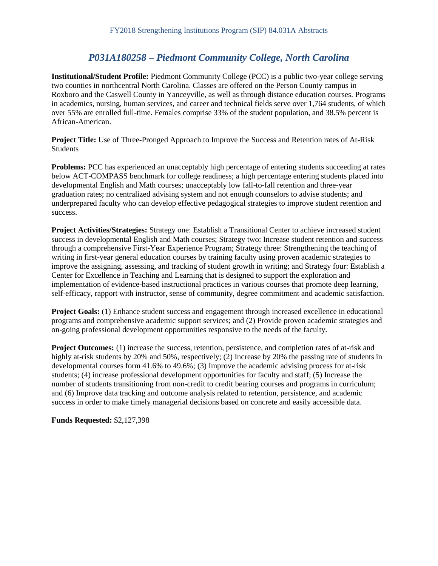## *P031A180258 – Piedmont Community College, North Carolina*

**Institutional/Student Profile:** Piedmont Community College (PCC) is a public two-year college serving two counties in northcentral North Carolina. Classes are offered on the Person County campus in Roxboro and the Caswell County in Yanceyville, as well as through distance education courses. Programs in academics, nursing, human services, and career and technical fields serve over 1,764 students, of which over 55% are enrolled full-time. Females comprise 33% of the student population, and 38.5% percent is African-American.

**Project Title:** Use of Three-Pronged Approach to Improve the Success and Retention rates of At-Risk Students

**Problems:** PCC has experienced an unacceptably high percentage of entering students succeeding at rates below ACT-COMPASS benchmark for college readiness; a high percentage entering students placed into developmental English and Math courses; unacceptably low fall-to-fall retention and three-year graduation rates; no centralized advising system and not enough counselors to advise students; and underprepared faculty who can develop effective pedagogical strategies to improve student retention and success.

**Project Activities/Strategies:** Strategy one: Establish a Transitional Center to achieve increased student success in developmental English and Math courses; Strategy two: Increase student retention and success through a comprehensive First-Year Experience Program; Strategy three: Strengthening the teaching of writing in first-year general education courses by training faculty using proven academic strategies to improve the assigning, assessing, and tracking of student growth in writing; and Strategy four: Establish a Center for Excellence in Teaching and Learning that is designed to support the exploration and implementation of evidence-based instructional practices in various courses that promote deep learning, self-efficacy, rapport with instructor, sense of community, degree commitment and academic satisfaction.

**Project Goals:** (1) Enhance student success and engagement through increased excellence in educational programs and comprehensive academic support services; and (2) Provide proven academic strategies and on-going professional development opportunities responsive to the needs of the faculty.

**Project Outcomes:** (1) increase the success, retention, persistence, and completion rates of at-risk and highly at-risk students by 20% and 50%, respectively; (2) Increase by 20% the passing rate of students in developmental courses form 41.6% to 49.6%; (3) Improve the academic advising process for at-risk students; (4) increase professional development opportunities for faculty and staff; (5) Increase the number of students transitioning from non-credit to credit bearing courses and programs in curriculum; and (6) Improve data tracking and outcome analysis related to retention, persistence, and academic success in order to make timely managerial decisions based on concrete and easily accessible data.

**Funds Requested:** \$2,127,398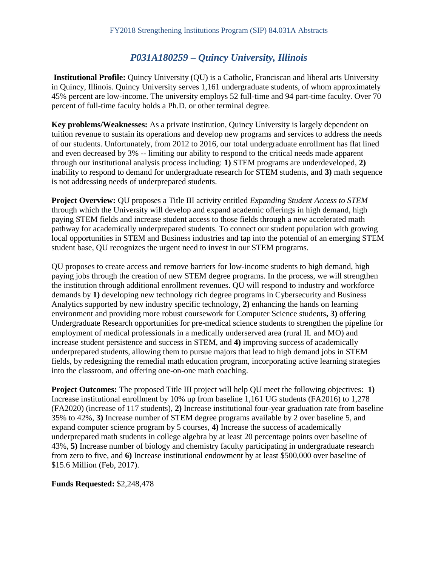## *P031A180259 – Quincy University, Illinois*

**Institutional Profile:** Quincy University (QU) is a Catholic, Franciscan and liberal arts University in Quincy, Illinois. Quincy University serves 1,161 undergraduate students, of whom approximately 45% percent are low-income. The university employs 52 full-time and 94 part-time faculty. Over 70 percent of full-time faculty holds a Ph.D. or other terminal degree.

**Key problems/Weaknesses:** As a private institution, Quincy University is largely dependent on tuition revenue to sustain its operations and develop new programs and services to address the needs of our students. Unfortunately, from 2012 to 2016, our total undergraduate enrollment has flat lined and even decreased by 3% -- limiting our ability to respond to the critical needs made apparent through our institutional analysis process including: **1)** STEM programs are underdeveloped, **2)**  inability to respond to demand for undergraduate research for STEM students, and **3)** math sequence is not addressing needs of underprepared students.

**Project Overview:** QU proposes a Title III activity entitled *Expanding Student Access to STEM*  through which the University will develop and expand academic offerings in high demand, high paying STEM fields and increase student access to those fields through a new accelerated math pathway for academically underprepared students. To connect our student population with growing local opportunities in STEM and Business industries and tap into the potential of an emerging STEM student base, QU recognizes the urgent need to invest in our STEM programs.

QU proposes to create access and remove barriers for low-income students to high demand, high paying jobs through the creation of new STEM degree programs. In the process, we will strengthen the institution through additional enrollment revenues. QU will respond to industry and workforce demands by **1)** developing new technology rich degree programs in Cybersecurity and Business Analytics supported by new industry specific technology, **2)** enhancing the hands on learning environment and providing more robust coursework for Computer Science students**, 3)** offering Undergraduate Research opportunities for pre-medical science students to strengthen the pipeline for employment of medical professionals in a medically underserved area (rural IL and MO) and increase student persistence and success in STEM, and **4)** improving success of academically underprepared students, allowing them to pursue majors that lead to high demand jobs in STEM fields, by redesigning the remedial math education program, incorporating active learning strategies into the classroom, and offering one-on-one math coaching.

**Project Outcomes:** The proposed Title III project will help QU meet the following objectives: 1) Increase institutional enrollment by 10% up from baseline 1,161 UG students (FA2016) to 1,278 (FA2020) (increase of 117 students), **2)** Increase institutional four-year graduation rate from baseline 35% to 42%, **3)** Increase number of STEM degree programs available by 2 over baseline 5, and expand computer science program by 5 courses, **4)** Increase the success of academically underprepared math students in college algebra by at least 20 percentage points over baseline of 43%, **5)** Increase number of biology and chemistry faculty participating in undergraduate research from zero to five, and **6)** Increase institutional endowment by at least \$500,000 over baseline of \$15.6 Million (Feb, 2017).

**Funds Requested:** \$2,248,478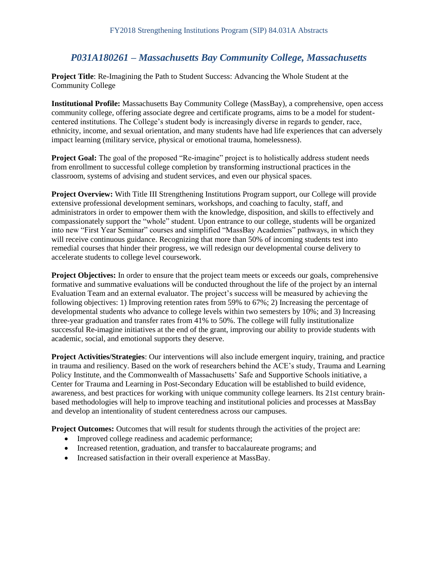# *P031A180261 – Massachusetts Bay Community College, Massachusetts*

**Project Title**: Re-Imagining the Path to Student Success: Advancing the Whole Student at the Community College

**Institutional Profile:** Massachusetts Bay Community College (MassBay), a comprehensive, open access community college, offering associate degree and certificate programs, aims to be a model for studentcentered institutions. The College's student body is increasingly diverse in regards to gender, race, ethnicity, income, and sexual orientation, and many students have had life experiences that can adversely impact learning (military service, physical or emotional trauma, homelessness).

**Project Goal:** The goal of the proposed "Re-imagine" project is to holistically address student needs from enrollment to successful college completion by transforming instructional practices in the classroom, systems of advising and student services, and even our physical spaces.

**Project Overview:** With Title III Strengthening Institutions Program support, our College will provide extensive professional development seminars, workshops, and coaching to faculty, staff, and administrators in order to empower them with the knowledge, disposition, and skills to effectively and compassionately support the "whole" student. Upon entrance to our college, students will be organized into new "First Year Seminar" courses and simplified "MassBay Academies" pathways, in which they will receive continuous guidance. Recognizing that more than 50% of incoming students test into remedial courses that hinder their progress, we will redesign our developmental course delivery to accelerate students to college level coursework.

**Project Objectives:** In order to ensure that the project team meets or exceeds our goals, comprehensive formative and summative evaluations will be conducted throughout the life of the project by an internal Evaluation Team and an external evaluator. The project's success will be measured by achieving the following objectives: 1) Improving retention rates from 59% to 67%; 2) Increasing the percentage of developmental students who advance to college levels within two semesters by 10%; and 3) Increasing three-year graduation and transfer rates from 41% to 50%. The college will fully institutionalize successful Re-imagine initiatives at the end of the grant, improving our ability to provide students with academic, social, and emotional supports they deserve.

**Project Activities/Strategies**: Our interventions will also include emergent inquiry, training, and practice in trauma and resiliency. Based on the work of researchers behind the ACE's study, Trauma and Learning Policy Institute, and the Commonwealth of Massachusetts' Safe and Supportive Schools initiative, a Center for Trauma and Learning in Post-Secondary Education will be established to build evidence, awareness, and best practices for working with unique community college learners. Its 21st century brainbased methodologies will help to improve teaching and institutional policies and processes at MassBay and develop an intentionality of student centeredness across our campuses.

**Project Outcomes:** Outcomes that will result for students through the activities of the project are:

- Improved college readiness and academic performance;
- Increased retention, graduation, and transfer to baccalaureate programs; and
- Increased satisfaction in their overall experience at MassBay.